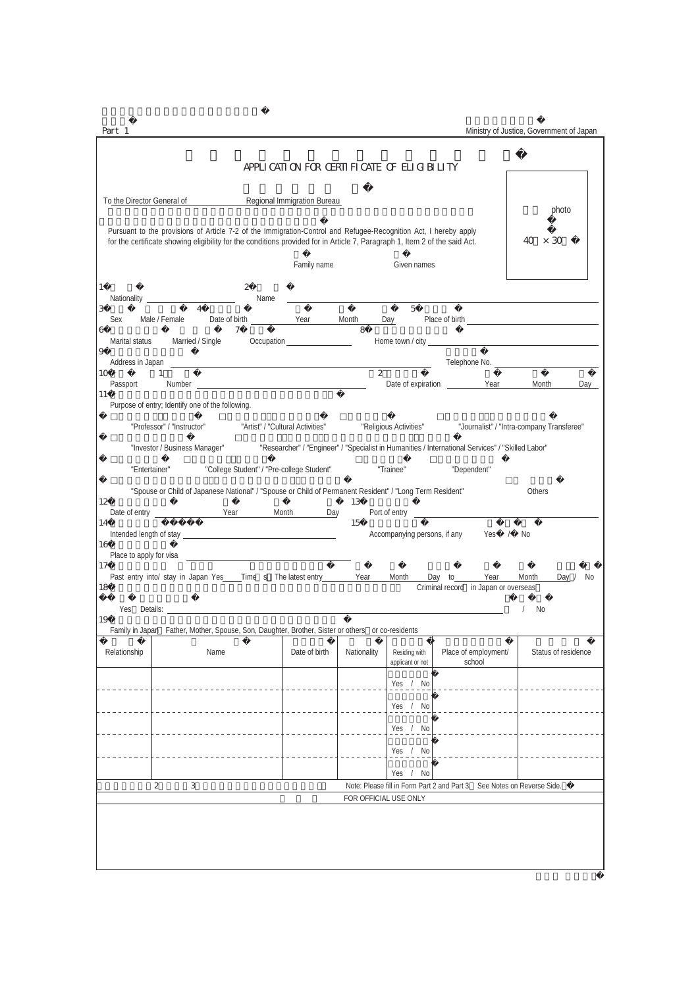$Part 1$ 

|                               |                                                                                                                                                                                                                                                |                                                                            | APPLICATION FOR CERTIFICATE OF ELIGIBILITY |                             |                                   |                                                                                                                         |                                                                                                                                                                                                                               |
|-------------------------------|------------------------------------------------------------------------------------------------------------------------------------------------------------------------------------------------------------------------------------------------|----------------------------------------------------------------------------|--------------------------------------------|-----------------------------|-----------------------------------|-------------------------------------------------------------------------------------------------------------------------|-------------------------------------------------------------------------------------------------------------------------------------------------------------------------------------------------------------------------------|
| To the Director General of    |                                                                                                                                                                                                                                                |                                                                            | Regional Immigration Bureau                |                             |                                   |                                                                                                                         | photo                                                                                                                                                                                                                         |
|                               | Pursuant to the provisions of Article 7-2 of the Immigration-Control and Refugee-Recognition Act, I hereby apply<br>for the certificate showing eligibility for the conditions provided for in Article 7, Paragraph 1, Item 2 of the said Act. |                                                                            |                                            |                             |                                   |                                                                                                                         | 40.<br>$\times$ 30                                                                                                                                                                                                            |
|                               |                                                                                                                                                                                                                                                |                                                                            | Family name                                |                             | Given names                       |                                                                                                                         |                                                                                                                                                                                                                               |
| 1<br>3                        | $\overline{4}$                                                                                                                                                                                                                                 | 2<br>Name                                                                  |                                            |                             | $\overline{5}$                    | <u> 1988 - Johann Barn, amerikan bernama di sebagai personal dan bernama di sebagai personal dan bernama di sebagai</u> |                                                                                                                                                                                                                               |
| Male / Female<br>Sex<br>6     |                                                                                                                                                                                                                                                | Date of birth <b>Sear</b> Month<br>7                                       |                                            | $\mathcal{S}_{\mathcal{S}}$ | Day                               |                                                                                                                         | Place of birth entries and the state of the state of the state of the state of the state of the state of the state of the state of the state of the state of the state of the state of the state of the state of the state of |
|                               | Marital status Married / Single                                                                                                                                                                                                                |                                                                            | Occupation                                 |                             |                                   |                                                                                                                         |                                                                                                                                                                                                                               |
| 9                             |                                                                                                                                                                                                                                                |                                                                            |                                            |                             |                                   |                                                                                                                         | Telephone No. 2008 Communication of the Communication of the Communication of the Communication of the Communication of the Communication of the Communication of the Communication of the Communication of the Communication |
| 10<br>-1<br>Passport          |                                                                                                                                                                                                                                                |                                                                            |                                            | $\overline{c}$              |                                   |                                                                                                                         | Day                                                                                                                                                                                                                           |
| <sup>11</sup>                 | Purpose of entry; Identify one of the following.                                                                                                                                                                                               |                                                                            |                                            |                             |                                   |                                                                                                                         |                                                                                                                                                                                                                               |
|                               | "Professor" / "Instructor"                                                                                                                                                                                                                     | "Artist" / "Cultural Activities"                                           |                                            |                             | "Religious Activities"            |                                                                                                                         | "Journalist" / "Intra-company Transferee"                                                                                                                                                                                     |
|                               | "Investor / Business Manager"                                                                                                                                                                                                                  |                                                                            |                                            |                             |                                   | "Researcher" / "Engineer" / "Specialist in Humanities / International Services" / "Skilled Labor"                       |                                                                                                                                                                                                                               |
| "Entertainer"                 |                                                                                                                                                                                                                                                | "College Student" / "Pre-college Student"                                  |                                            |                             | "Trainee"                         | "Dependent"                                                                                                             |                                                                                                                                                                                                                               |
|                               | "Spouse or Child of Japanese National" / "Spouse or Child of Permanent Resident" / "Long Term Resident"                                                                                                                                        |                                                                            |                                            |                             |                                   |                                                                                                                         | Others                                                                                                                                                                                                                        |
| 12                            |                                                                                                                                                                                                                                                |                                                                            | <b>Month</b><br>Day                        | 13                          |                                   |                                                                                                                         |                                                                                                                                                                                                                               |
| 14                            |                                                                                                                                                                                                                                                |                                                                            |                                            | 15                          |                                   | Accompanying persons, if any Yes<br>$\frac{1}{2}$                                                                       | No                                                                                                                                                                                                                            |
| 16<br>Place to apply for visa |                                                                                                                                                                                                                                                | the control of the control of the control of the control of the control of |                                            |                             |                                   |                                                                                                                         |                                                                                                                                                                                                                               |
| 17<br>18                      | Past entry into/ stay in Japan Yes ____ Time s The latest entry                                                                                                                                                                                |                                                                            |                                            | Year                        | Month                             | Day to<br>Year<br>Criminal record in Japan or overseas                                                                  | Day $/$<br>Month<br>No                                                                                                                                                                                                        |
|                               | <b>The Vest Details:</b> The Vest of the Vest of the Vest of the Vest of the Vest of the Vest of the Vest of the Vest of the Vest of the Vest of the Vest of the Vest of the Vest of the Vest of the Vest of the Vest of the Vest o            |                                                                            |                                            |                             |                                   |                                                                                                                         | No                                                                                                                                                                                                                            |
| 19                            | Family in Japan Father, Mother, Spouse, Son, Daughter, Brother, Sister or others or co-residents                                                                                                                                               |                                                                            |                                            |                             |                                   |                                                                                                                         |                                                                                                                                                                                                                               |
| Relationship                  | Name                                                                                                                                                                                                                                           |                                                                            | Date of birth                              | Nationality                 | Residing with<br>applicant or not | Place of employment/<br>school                                                                                          | Status of residence                                                                                                                                                                                                           |
|                               |                                                                                                                                                                                                                                                |                                                                            |                                            |                             | Yes / No                          |                                                                                                                         |                                                                                                                                                                                                                               |
|                               |                                                                                                                                                                                                                                                |                                                                            |                                            |                             | Yes / No                          |                                                                                                                         |                                                                                                                                                                                                                               |
|                               | __________________                                                                                                                                                                                                                             |                                                                            |                                            |                             | Yes / No                          | <u> La Carlo Carlo Carlo Ca</u>                                                                                         |                                                                                                                                                                                                                               |
|                               |                                                                                                                                                                                                                                                |                                                                            |                                            |                             | Yes / No                          |                                                                                                                         |                                                                                                                                                                                                                               |
|                               |                                                                                                                                                                                                                                                |                                                                            |                                            |                             | No<br>Yes $/$                     |                                                                                                                         |                                                                                                                                                                                                                               |
| $\mathbf{2}$                  | 3                                                                                                                                                                                                                                              |                                                                            |                                            |                             |                                   | Note: Please fill in Form Part 2 and Part 3. See Notes on Reverse Side.                                                 |                                                                                                                                                                                                                               |
|                               |                                                                                                                                                                                                                                                |                                                                            |                                            | FOR OFFICIAL USE ONLY       |                                   |                                                                                                                         |                                                                                                                                                                                                                               |
|                               |                                                                                                                                                                                                                                                |                                                                            |                                            |                             |                                   |                                                                                                                         |                                                                                                                                                                                                                               |
|                               |                                                                                                                                                                                                                                                |                                                                            |                                            |                             |                                   |                                                                                                                         |                                                                                                                                                                                                                               |
|                               |                                                                                                                                                                                                                                                |                                                                            |                                            |                             |                                   |                                                                                                                         |                                                                                                                                                                                                                               |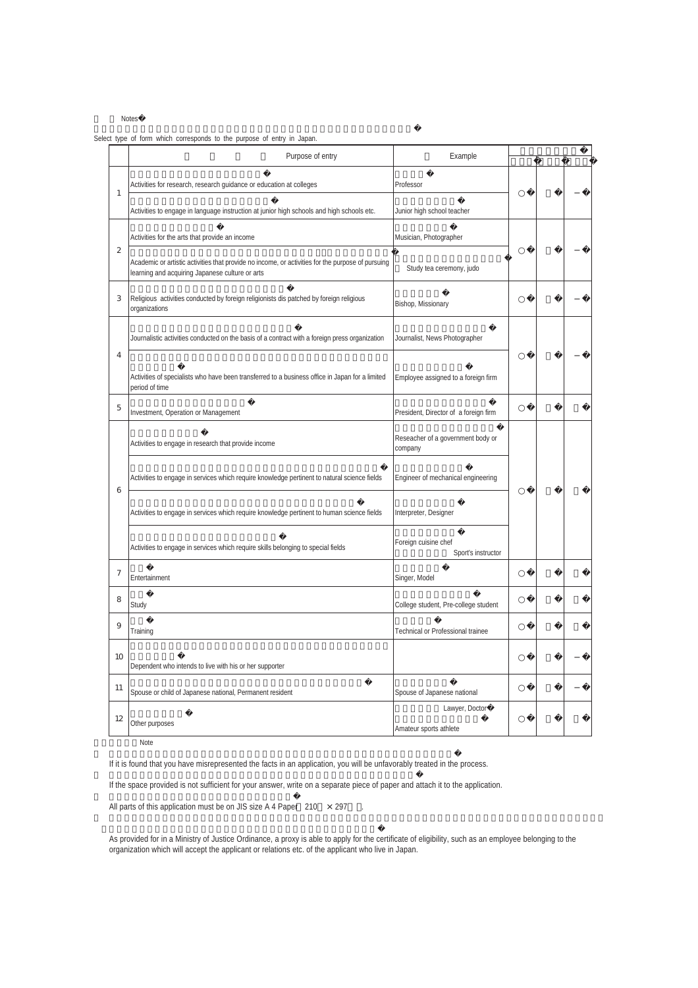**Notes** 

Select type of form which corresponds to the purpose of entry in Japan.

|    | Purpose of entry                                                                                                                                     | Example                                      |  |
|----|------------------------------------------------------------------------------------------------------------------------------------------------------|----------------------------------------------|--|
| 1  | Activities for research, research guidance or education at colleges                                                                                  | Professor                                    |  |
|    | Activities to engage in language instruction at junior high schools and high schools etc.                                                            | Junior high school teacher                   |  |
|    | Activities for the arts that provide an income                                                                                                       | Musician, Photographer                       |  |
| 2  | Academic or artistic activities that provide no income, or activities for the purpose of pursuing<br>learning and acquiring Japanese culture or arts | Study tea ceremony, judo                     |  |
| 3  | Religious activities conducted by foreign religionists dis patched by foreign religious<br>organizations                                             | Bishop, Missionary                           |  |
|    | Journalistic activities conducted on the basis of a contract with a foreign press organization                                                       | Journalist, News Photographer                |  |
| 4  | Activities of specialists who have been transferred to a business office in Japan for a limited<br>period of time                                    | Employee assigned to a foreign firm          |  |
| 5  | Investment, Operation or Management                                                                                                                  | President, Director of a foreign firm        |  |
|    | Activities to engage in research that provide income                                                                                                 | Reseacher of a government body or<br>company |  |
| 6  | Activities to engage in services which require knowledge pertinent to natural science fields                                                         | Engineer of mechanical engineering           |  |
|    | Activities to engage in services which require knowledge pertinent to human science fields                                                           | Interpreter, Designer                        |  |
|    | Activities to engage in services which require skills belonging to special fields                                                                    | Foreign cuisine chef<br>Sport's instructor   |  |
| 7  | Entertainment                                                                                                                                        | Singer, Model                                |  |
| 8  | Study                                                                                                                                                | College student, Pre-college student         |  |
| 9  | Training                                                                                                                                             | Technical or Professional trainee            |  |
| 10 | Dependent who intends to live with his or her supporter                                                                                              |                                              |  |
| 11 | Spouse or child of Japanese national, Permanent resident                                                                                             | Spouse of Japanese national                  |  |
| 12 | Other purposes                                                                                                                                       | Lawyer, Doctor<br>Amateur sports athlete     |  |

Note

If it is found that you have misrepresented the facts in an application, you will be unfavorably treated in the process.

If the space provided is not sufficient for your answer, write on a separate piece of paper and attach it to the application.

All parts of this application must be on JIS size A 4 Paper  $210 \times 297$ .

As provided for in a Ministry of Justice Ordinance, a proxy is able to apply for the certificate of eligibility, such as an employee belonging to the organization which will accept the applicant or relations etc. of the applicant who live in Japan.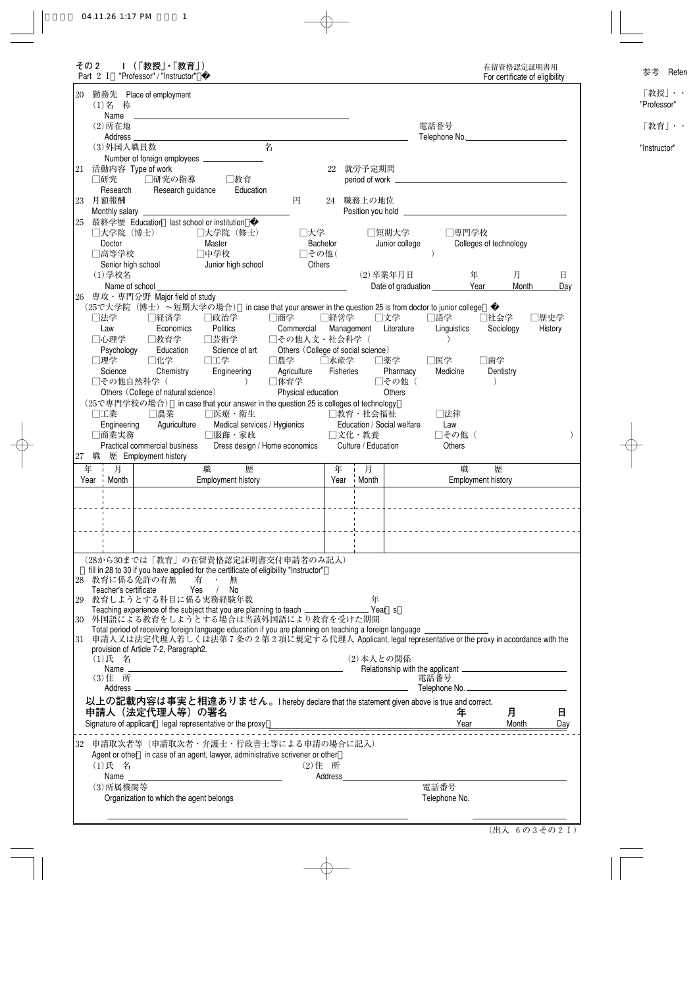| その2<br>Part 2 I              | Ⅰ (「教授」・「教育」)<br>"Professor" / "Instructor"  |                                                                                                                                                    |                                                                              |            |                              |                            |                                    |                           | For certificate of eligibility |         |
|------------------------------|----------------------------------------------|----------------------------------------------------------------------------------------------------------------------------------------------------|------------------------------------------------------------------------------|------------|------------------------------|----------------------------|------------------------------------|---------------------------|--------------------------------|---------|
| 20<br>(1)名 称                 | 勤務先 Place of employment                      |                                                                                                                                                    |                                                                              |            |                              |                            |                                    |                           |                                |         |
| Name<br>$(2)$ 所在地            |                                              |                                                                                                                                                    |                                                                              |            |                              |                            | 電話番号                               |                           |                                |         |
| Address ______               |                                              |                                                                                                                                                    |                                                                              |            |                              |                            | Telephone No.                      |                           |                                |         |
| (3)外国人職員数                    |                                              |                                                                                                                                                    | 名                                                                            |            |                              |                            |                                    |                           |                                |         |
|                              |                                              |                                                                                                                                                    |                                                                              |            |                              |                            |                                    |                           |                                |         |
| 21 活動内容 Type of work<br>□研究  | □研究の指導                                       | □教育                                                                                                                                                |                                                                              | 22         | 就労予定期間                       |                            |                                    |                           |                                |         |
| Research                     | Research guidance                            | Education                                                                                                                                          |                                                                              |            |                              |                            |                                    |                           |                                |         |
| 月額報酬<br>23                   |                                              |                                                                                                                                                    | 円                                                                            |            | 24 職務上の地位                    |                            |                                    |                           |                                |         |
|                              |                                              |                                                                                                                                                    |                                                                              |            |                              |                            |                                    |                           |                                |         |
| □大学院 (博士)                    | 25 最終学歴 Education last school or institution | □大学院(修士)                                                                                                                                           | □大学                                                                          |            |                              | □短期大学                      | □専門学校                              |                           |                                |         |
| Doctor                       |                                              | Master                                                                                                                                             |                                                                              | Bachelor   |                              | Junior college             |                                    |                           | Colleges of technology         |         |
| □高等学校                        |                                              | □中学校                                                                                                                                               | □その他(                                                                        |            |                              |                            |                                    |                           |                                |         |
| Senior high school           |                                              | Junior high school                                                                                                                                 | Others                                                                       |            |                              |                            |                                    |                           |                                |         |
| (1) 学校名                      |                                              |                                                                                                                                                    |                                                                              |            |                              | (2) 卒業年月日                  |                                    | 年                         | 月<br>Month                     | 日       |
| Name of school<br>26         | 専攻・専門分野 Major field of study                 |                                                                                                                                                    |                                                                              |            |                              |                            | Date of graduation __________ Year |                           |                                | Day     |
|                              | (25で大学院(博士)~短期大学の場合)                         |                                                                                                                                                    | in case that your answer in the question 25 is from doctor to junior college |            |                              |                            |                                    |                           |                                |         |
| □法学                          | □経済学                                         | □政治学                                                                                                                                               | □商学                                                                          | □経営学       |                              | □文学                        | □語学                                |                           | □社会学                           | □歴史学    |
| Law                          | Economics                                    | Politics                                                                                                                                           | Commercial                                                                   | Management |                              | Literature                 | Linguistics                        |                           | Sociology                      | History |
| □心理学<br>Psychology           | □教育学<br>Education                            | □芸術学<br>Science of art                                                                                                                             | □その他人文・社会科学(<br>Others (College of social science)                           |            |                              |                            |                                    |                           |                                |         |
| □理学                          | □化学                                          | □工学                                                                                                                                                | □農学                                                                          | □水産学       |                              | □薬学                        | □医学                                | □歯学                       |                                |         |
| Science                      | Chemistry                                    | Engineering                                                                                                                                        | Agriculture                                                                  | Fisheries  |                              | Pharmacy                   | Medicine                           |                           | Dentistry                      |         |
| □その他自然科学(                    |                                              | $\rightarrow$                                                                                                                                      | □体育学                                                                         |            |                              | □その他(                      |                                    |                           |                                |         |
|                              | Others (College of natural science)          | (25で専門学校の場合) in case that your answer in the question 25 is colleges of technology                                                                 | Physical education                                                           |            |                              | Others                     |                                    |                           |                                |         |
|                              |                                              |                                                                                                                                                    |                                                                              |            |                              |                            |                                    |                           |                                |         |
|                              |                                              |                                                                                                                                                    |                                                                              |            |                              |                            |                                    |                           |                                |         |
| □工業<br>Engineering           | □農業<br>Aguriculture                          | □医療・衛生                                                                                                                                             |                                                                              |            | □教育・社会福祉                     | Education / Social welfare | □法律<br>Law                         |                           |                                |         |
| □商業実務                        |                                              | Medical services / Hygienics<br>□服飾・家政                                                                                                             |                                                                              |            | □文化・教養                       |                            | □その他 (                             |                           |                                |         |
|                              | Practical commercial business                |                                                                                                                                                    | Dress design / Home economics                                                |            | Culture / Education          |                            | <b>Others</b>                      |                           |                                |         |
| 職<br>27                      | 歴 Employment history                         |                                                                                                                                                    |                                                                              |            |                              |                            |                                    |                           |                                |         |
| 月<br>i Month                 |                                              | 職<br>歴<br><b>Employment history</b>                                                                                                                |                                                                              | 年<br>Year  | 月<br>Month<br>$\blacksquare$ |                            | 職                                  | <b>Employment history</b> | 歴                              |         |
|                              |                                              |                                                                                                                                                    |                                                                              |            |                              |                            |                                    |                           |                                |         |
|                              |                                              |                                                                                                                                                    |                                                                              |            |                              |                            |                                    |                           |                                |         |
|                              |                                              |                                                                                                                                                    |                                                                              |            |                              |                            |                                    |                           |                                |         |
|                              |                                              | ____________________________________                                                                                                               |                                                                              |            |                              |                            |                                    |                           |                                |         |
|                              |                                              |                                                                                                                                                    |                                                                              |            |                              |                            |                                    |                           |                                |         |
|                              | 28 教育に係る免許の有無 有 ・ 無                          | (28から30までは「教育」の在留資格認定証明書交付申請者のみ記入)<br>fill in 28 to 30 if you have applied for the certificate of eligibility "Instructor"                         |                                                                              |            |                              |                            |                                    |                           |                                |         |
| Teacher's certificate        |                                              | Yes / No                                                                                                                                           |                                                                              |            |                              |                            |                                    |                           |                                |         |
|                              | 29 教育しようとする科目に係る実務経験年数                       |                                                                                                                                                    |                                                                              |            | 年                            |                            |                                    |                           |                                |         |
|                              |                                              |                                                                                                                                                    |                                                                              |            |                              |                            |                                    |                           |                                |         |
|                              |                                              | 30 外国語による教育をしようとする場合は当該外国語により教育を受けた期間<br>Total period of receiving foreign language education if you are planning on teaching a foreign language _ |                                                                              |            |                              |                            |                                    |                           |                                |         |
|                              |                                              | 31 申請人又は法定代理人若しくは法第7条の2第2項に規定する代理人 Applicant, legal representative or the proxy in accordance with the                                             |                                                                              |            |                              |                            |                                    |                           |                                |         |
| (1)氏 名                       | provision of Article 7-2, Paragraph2.        |                                                                                                                                                    |                                                                              |            |                              | (2) 本人との関係                 |                                    |                           |                                |         |
|                              |                                              |                                                                                                                                                    |                                                                              |            |                              |                            |                                    |                           |                                |         |
| (3) 住 所                      |                                              |                                                                                                                                                    |                                                                              |            |                              |                            | 電話番号                               |                           |                                |         |
| Address —                    |                                              |                                                                                                                                                    |                                                                              |            |                              |                            | Telephone No.                      |                           |                                |         |
|                              | 申請人 (法定代理人等) の署名                             | 以上の記載内容は事実と相違ありません。I hereby declare that the statement given above is true and correct.                                                            |                                                                              |            |                              |                            | 年<br>Year                          |                           | 月<br>Month                     | 日       |
|                              |                                              | Signature of applicant legal representative or the proxy _                                                                                         | <u> 1989 - Johann Stoff, fransk politik (d. 1989)</u>                        |            |                              |                            |                                    |                           |                                |         |
|                              |                                              | 申請取次者等(申請取次者・弁護士・行政書士等による申請の場合に記入)                                                                                                                 |                                                                              |            |                              |                            |                                    |                           |                                |         |
|                              |                                              | Agent or other in case of an agent, lawyer, administrative scrivener or other                                                                      |                                                                              |            |                              |                            |                                    |                           |                                |         |
| (1)氏 名                       |                                              |                                                                                                                                                    |                                                                              | (2) 住 所    |                              |                            |                                    |                           |                                |         |
| 年<br>Year<br>32<br>(3) 所属機関等 |                                              |                                                                                                                                                    |                                                                              | Address_   |                              |                            | 電話番号                               |                           |                                | Day     |

|  |  | (出入 6の3その2I) |
|--|--|--------------|
|--|--|--------------|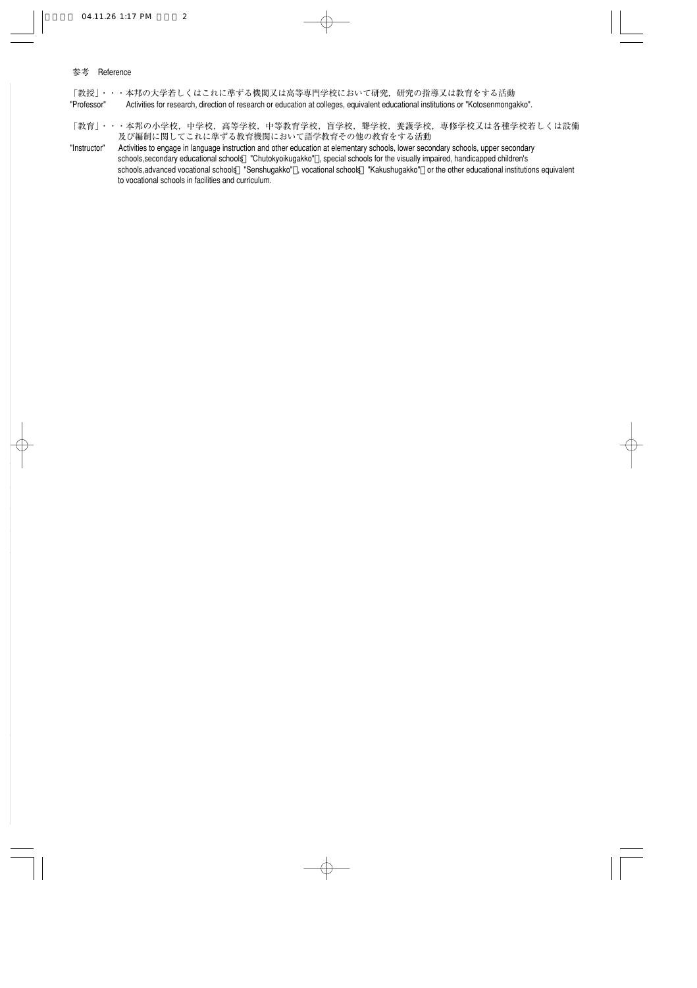#### 参考 Reference

「教授」・・・本邦の大学若しくはこれに準ずる機関又は高等専門学校において研究,研究の指導又は教育をする活動 "Professor" Activities for research, direction of research or education at colleges, equivalent educational institutions or "Kotosenmongakko".

「教育」・・・本邦の小学校,中学校,中等教育学校,盲学校, 聾学校,養護学校, 専修学校又は各種学校若しくは設備 及び編制に関してこれに準ずる教育機関において語学教育その他の教育をする活動�

"Instructor" Activities to engage in language instruction and other education at elementary schools, lower secondary schools, upper secondary schools,secondary educational schools "Chutokyoikugakko" , special schools for the visually impaired, handicapped children's schools,advanced vocational schools "Senshugakko" , vocational schools "Kakushugakko" or the other educational institutions equivalent to vocational schools in facilities and curriculum.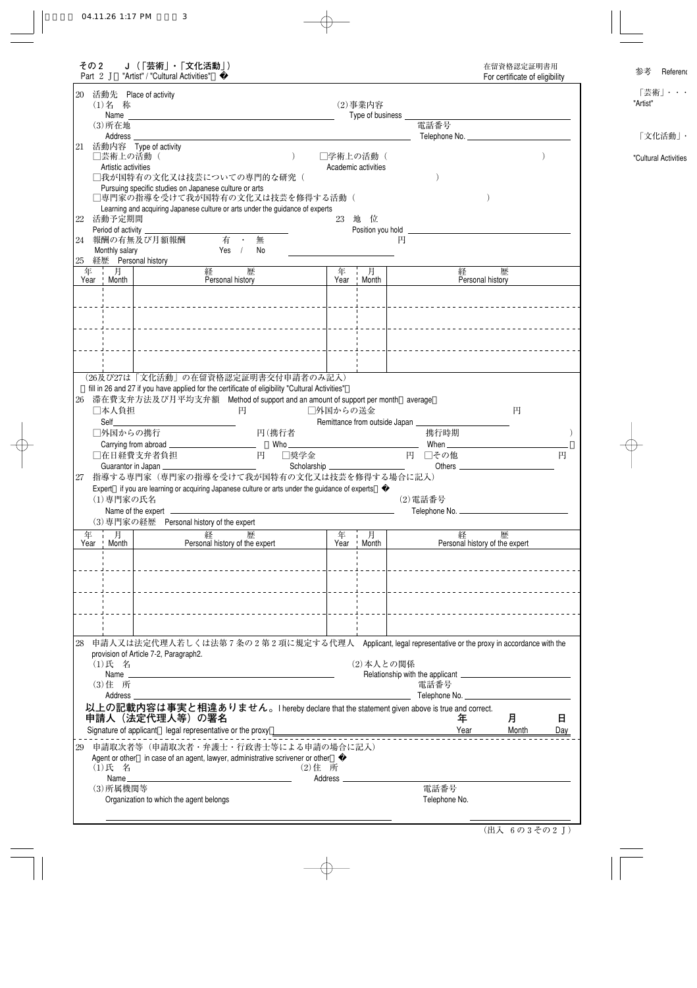| その 2<br>J(「芸術」・「文化活動」)<br>Part 2 J "Artist" / "Cultural Activities"                                                                                                                                                                                                                                                                     | 在留資格認定証明書用<br>For certificate of eligibility                             |
|-----------------------------------------------------------------------------------------------------------------------------------------------------------------------------------------------------------------------------------------------------------------------------------------------------------------------------------------|--------------------------------------------------------------------------|
| 20 活動先 Place of activity<br>(1)名 称<br>$(2)$ 事業内容<br>Name Name and the state of the state of the state of the state of the state of the state of the state of the state of the state of the state of the state of the state of the state of the state of the state of the state of<br>Type of business _<br>電話番号<br>$(3)$ 所在地<br>Address |                                                                          |
| 21 活動内容 Type of activity<br>□芸術上の活動(<br>□学術上の活動(<br>Artistic activities<br>Academic activities<br>□我が国特有の文化又は技芸についての専門的な研究(<br>Pursuing specific studies on Japanese culture or arts<br>□専門家の指導を受けて我が国特有の文化又は技芸を修得する活動(                                                                                                                 |                                                                          |
| Learning and acquiring Japanese culture or arts under the guidance of experts<br>23 地 位<br>活動予定期間<br>22<br>Period of activity _<br>Position you hold ________________                                                                                                                                                                   |                                                                          |
| 有 ·<br>24 報酬の有無及び月額報酬<br>無<br>円<br>Monthly salary<br>Yes /<br>No<br>25 経歴 Personal history                                                                                                                                                                                                                                              |                                                                          |
| 年 月<br>経<br>歴<br>年<br>月<br>経<br>Month<br>Year ' Month<br>Year!<br>Personal history                                                                                                                                                                                                                                                      | 歴<br>Personal history                                                    |
| (26及び27は「文化活動」の在留資格認定証明書交付申請者のみ記入)                                                                                                                                                                                                                                                                                                      | _________________________________                                        |
| fill in 26 and 27 if you have applied for the certificate of eligibility "Cultural Activities"<br>26 滞在費支弁方法及び月平均支弁額 Method of support and an amount of support per month average<br>□本人負担<br>□外国からの送金<br>円<br>Self<br>Remittance from outside Japan<br>□外国からの携行<br>円(携行者<br>携行時期                                                       | 円                                                                        |
|                                                                                                                                                                                                                                                                                                                                         |                                                                          |
| Carrying from abroad _________________________<br>$Who$ <sub>___</sub><br>When $\_\_\_\_\$<br>円<br>□奨学金<br>円 □その他<br>□在日経費支弁者負担<br>Guarantor in Japan<br>指導する専門家(専門家の指導を受けて我が国特有の文化又は技芸を修得する場合に記入)                                                                                                                                      | 円                                                                        |
| 27<br>Expert if you are learning or acquiring Japanese culture or arts under the guidance of experts<br>(1)専門家の氏名<br>(2) 電話番号<br>Name of the expert entrance and the state of the expert entrance of the expert entrance of the expert                                                                                                  |                                                                          |
| (3) 専門家の経歴 Personal history of the expert<br>経<br>年 - 月<br>歴<br>年 月                                                                                                                                                                                                                                                                     | 経<br>歴                                                                   |
| Year   Month  <br>Year   Month<br>Personal history of the expert                                                                                                                                                                                                                                                                        | Personal history of the expert<br>______________________________________ |
| 申請人又は法定代理人若しくは法第7条の2第2項に規定する代理人 Applicant, legal representative or the proxy in accordance with the<br>28<br>provision of Article 7-2, Paragraph2.<br>(2) 本人との関係<br>(1)氏 名<br>(3) 住 所<br>電話番号<br>Address                                                                                                                                | Telephone No. _________________                                          |
| 以上の記載内容は事実と相違ありません。I hereby declare that the statement given above is true and correct.<br>申請人(法定代理人等)の署名<br>年<br>Signature of applicant legal representative or the proxy _                                                                                                                                                            | 月<br>日<br>Year<br>Month<br>Day                                           |
| 29 申請取次者等(申請取次者・弁護士・行政書士等による申請の場合に記入)<br>Agent or other in case of an agent, lawyer, administrative scrivener or other<br>(1)氏 名<br>(2) 住 所<br>Name_<br>電話番号<br>(3) 所属機関等                                                                                                                                                               |                                                                          |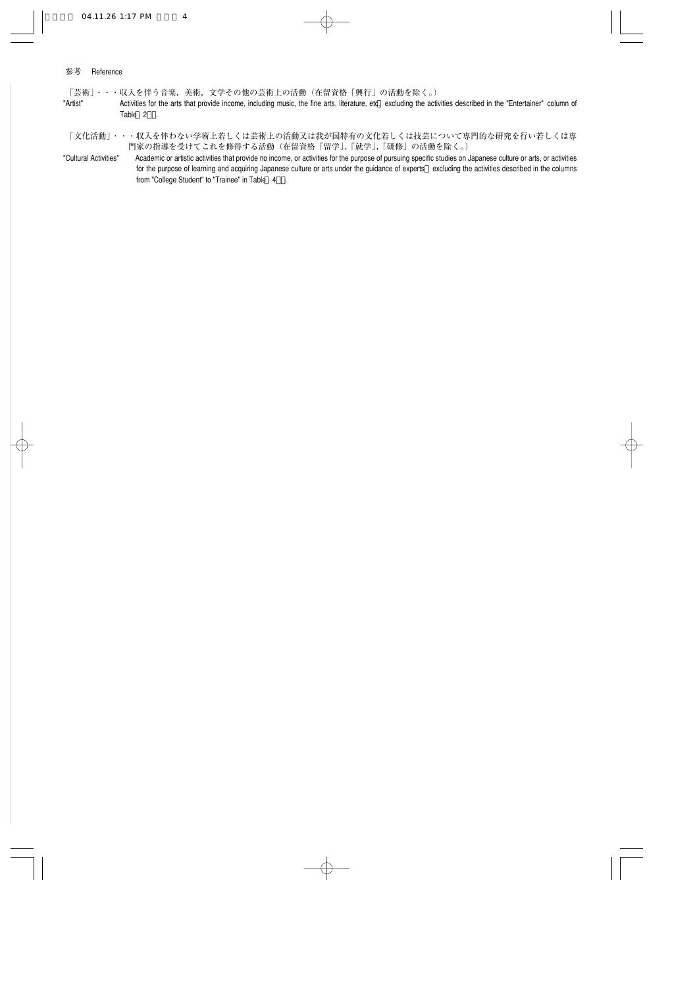#### 参考 Reference

「芸術」・・・収入を伴う音楽,美術,文学その他の芸術上の活動(在留資格「興行」の活動を除く。)�

- "Artist" <br>Activities for the arts that provide income, including music, the fine arts, literature, etc. excluding the activities described in the "Entertainer" column of Table 2 .
- 「文化活動」・・・収入を伴わない学術上若しくは芸術上の活動又は我が国特有の文化若しくは技芸について専門的な研究を行い若しくは専 門家の指導を受けてこれを修得する活動(在留資格「留学」,「就学」,「研修」の活動を除く。)�
- "Cultural Activities" Academic or artistic activities that provide no income, or activities for the purpose of pursuing specific studies on Japanese culture or arts, or activities for the purpose of learning and acquiring Japanese culture or arts under the guidance of experts excluding the activities described in the columns from "College Student" to "Trainee" in Table 4 .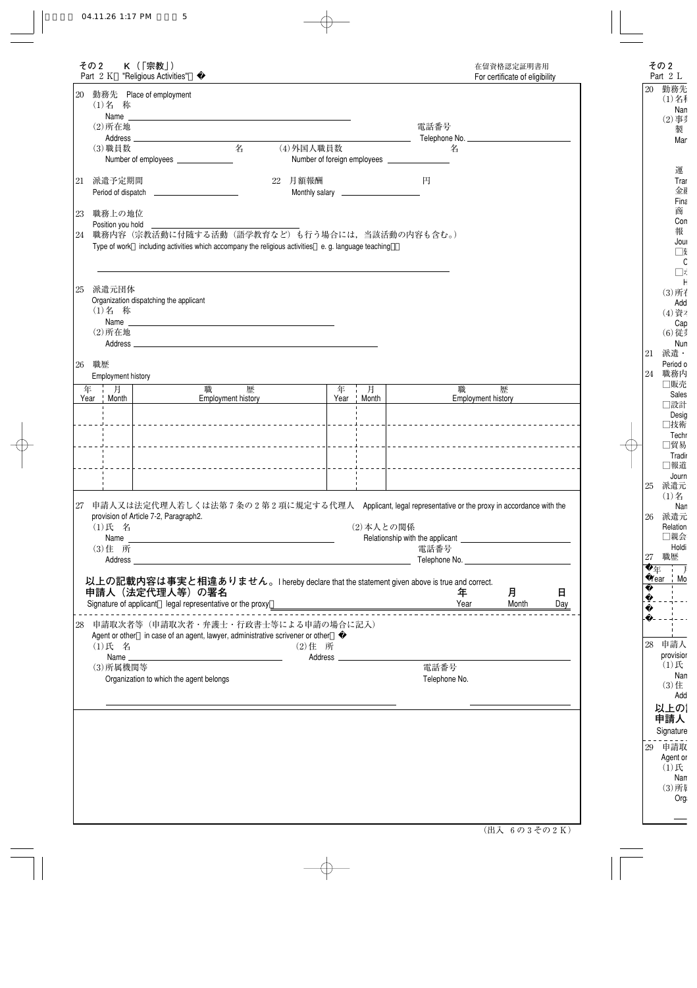|    | その2                          |             | K (「宗教」)<br>Part 2 K "Religious Activities"                                |                    |   |                                                                                                                                                                                                                                |   |              |                                                        |                                                                        | 在留資格認定証明書用<br>For certificate of eligibility |          |
|----|------------------------------|-------------|----------------------------------------------------------------------------|--------------------|---|--------------------------------------------------------------------------------------------------------------------------------------------------------------------------------------------------------------------------------|---|--------------|--------------------------------------------------------|------------------------------------------------------------------------|----------------------------------------------|----------|
|    | (1)名 称                       |             | 20 勤務先 Place of employment                                                 |                    |   | Name and the contract of the contract of the contract of the contract of the contract of the contract of the contract of the contract of the contract of the contract of the contract of the contract of the contract of the c |   |              |                                                        |                                                                        |                                              |          |
|    | $(2)$ 所在地                    |             |                                                                            |                    |   |                                                                                                                                                                                                                                |   |              |                                                        | 電話番号                                                                   |                                              |          |
|    |                              |             |                                                                            |                    |   |                                                                                                                                                                                                                                |   |              |                                                        |                                                                        |                                              |          |
|    | (3) 職員数                      |             | Number of employees _______________                                        |                    | 名 | (4)外国人職員数                                                                                                                                                                                                                      |   |              |                                                        | 名                                                                      |                                              |          |
| 21 | 派遣予定期間                       |             |                                                                            |                    |   | 22 月額報酬                                                                                                                                                                                                                        |   |              | 円                                                      |                                                                        |                                              |          |
| 23 | 職務上の地位<br>Position you hold  |             |                                                                            |                    |   |                                                                                                                                                                                                                                |   |              |                                                        |                                                                        |                                              |          |
| 24 |                              |             |                                                                            |                    |   | 職務内容(宗教活動に付随する活動(語学教育など)も行う場合には、当該活動の内容も含む。)<br>Type of work including activities which accompany the religious activities e.g. language teaching                                                                              |   |              |                                                        |                                                                        |                                              |          |
| 25 | 派遣元団体<br>(1)名 称<br>$(2)$ 所在地 |             | Organization dispatching the applicant                                     |                    |   |                                                                                                                                                                                                                                |   |              |                                                        |                                                                        |                                              |          |
| 26 | 職歴                           |             |                                                                            |                    |   | Address and the contract of the contract of the contract of the contract of the contract of the contract of the contract of the contract of the contract of the contract of the contract of the contract of the contract of th |   |              |                                                        |                                                                        |                                              |          |
| 年  | Employment history<br>一月     |             |                                                                            | 職                  | 歴 |                                                                                                                                                                                                                                | 年 | 上月           |                                                        | 職                                                                      | 歴                                            |          |
|    | Year ! Month                 |             |                                                                            | Employment history |   |                                                                                                                                                                                                                                |   | Year   Month |                                                        |                                                                        | Employment history                           |          |
|    |                              |             |                                                                            |                    |   | _____________________________________                                                                                                                                                                                          |   | . 1          |                                                        | ____________________________________<br>______________________________ |                                              |          |
| 27 | (1)氏 名                       |             | provision of Article 7-2, Paragraph2.                                      |                    |   | 申請人又は法定代理人若しくは法第7条の2第2項に規定する代理人 Applicant, legal representative or the proxy in accordance with the                                                                                                                            |   | (2) 本人との関係   |                                                        |                                                                        |                                              |          |
|    |                              |             |                                                                            |                    |   |                                                                                                                                                                                                                                |   |              |                                                        |                                                                        |                                              |          |
|    | (3) 住 所                      | Address ___ |                                                                            |                    |   |                                                                                                                                                                                                                                |   |              |                                                        | 電話番号                                                                   |                                              |          |
|    |                              |             | 申請人(法定代理人等)の署名<br>Signature of applicant legal representative or the proxy |                    |   | 以上の記載内容は事実と相違ありません。I hereby declare that the statement given above is true and correct.                                                                                                                                        |   |              | <u> 1980 - Jan Stein Bernstein, fransk politiker (</u> | 年<br>Year                                                              | 月<br>Month                                   | 日<br>Day |
| 28 | (1)氏 名                       |             |                                                                            |                    |   | 申請取次者等(申請取次者・弁護士・行政書士等による申請の場合に記入)<br>Agent or other in case of an agent, lawyer, administrative scrivener or other<br>(2) 住 所                                                                                                 |   |              |                                                        |                                                                        |                                              |          |
|    | (3) 所属機関等                    |             |                                                                            |                    |   |                                                                                                                                                                                                                                |   |              |                                                        | 電話番号                                                                   |                                              |          |
|    |                              |             | Organization to which the agent belongs                                    |                    |   |                                                                                                                                                                                                                                |   |              |                                                        | Telephone No.                                                          |                                              |          |
|    |                              |             |                                                                            |                    |   |                                                                                                                                                                                                                                |   |              |                                                        |                                                                        |                                              |          |
|    |                              |             |                                                                            |                    |   |                                                                                                                                                                                                                                |   |              |                                                        |                                                                        |                                              |          |
|    |                              |             |                                                                            |                    |   |                                                                                                                                                                                                                                |   |              |                                                        |                                                                        |                                              |          |
|    |                              |             |                                                                            |                    |   |                                                                                                                                                                                                                                |   |              |                                                        |                                                                        |                                              |          |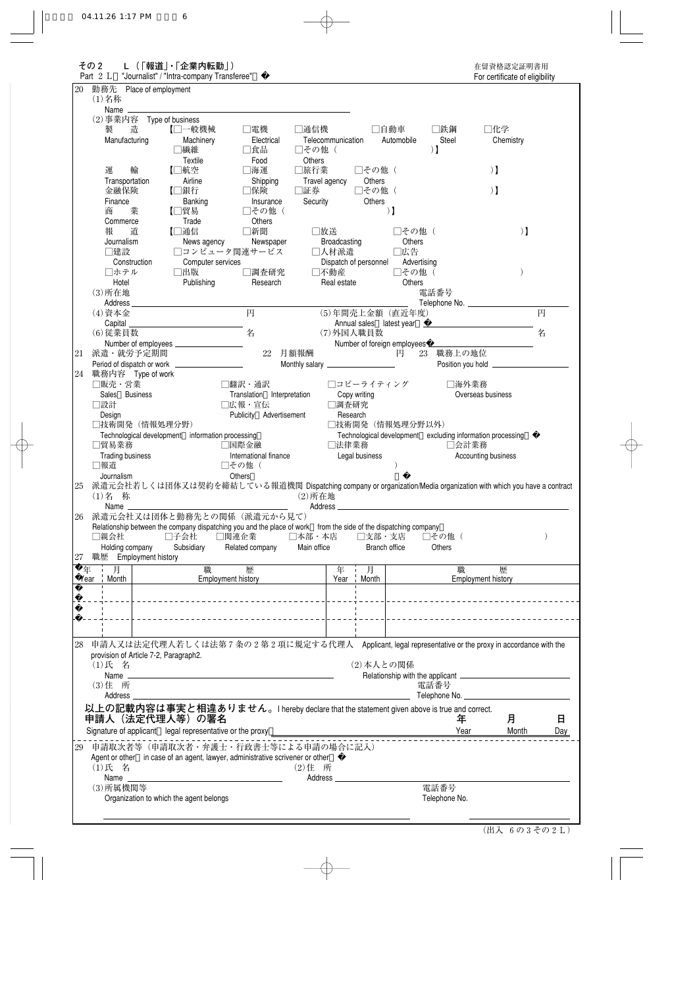|                 | その2<br>Part 2 L                                          | L ( 「報道」・「企業内転勤」)<br>"Journalist" / "Intra-company Transferee" |                                                                                                                  |                       |                            |                                              |              | 在留資格認定証明書用<br>For certificate of eligibility               |              |          |
|-----------------|----------------------------------------------------------|----------------------------------------------------------------|------------------------------------------------------------------------------------------------------------------|-----------------------|----------------------------|----------------------------------------------|--------------|------------------------------------------------------------|--------------|----------|
| 20              | 勤務先 Place of employment                                  |                                                                |                                                                                                                  |                       |                            |                                              |              |                                                            |              |          |
|                 | $(1)$ 名称<br>Name ______                                  |                                                                |                                                                                                                  |                       |                            |                                              |              |                                                            |              |          |
|                 | (2) 事業内容 Type of business<br>造<br>製                      | 【□一般機械                                                         | □電機                                                                                                              | □通信機                  | □自動車                       |                                              | □鉄鋼          | □化学                                                        |              |          |
|                 | Manufacturing                                            | Machinery                                                      | Electrical                                                                                                       | Telecommunication     |                            | Automobile                                   | Steel        | Chemistry                                                  |              |          |
|                 |                                                          | □繊維                                                            | □食品                                                                                                              | □その他(                 |                            |                                              | $\mathbf{1}$ |                                                            |              |          |
|                 |                                                          | Textile                                                        | Food                                                                                                             | Others                |                            |                                              |              |                                                            |              |          |
|                 | 運<br>輸<br>Transportation                                 | 【□航空<br>Airline                                                | □海運<br>Shipping                                                                                                  | □旅行業<br>Travel agency | □その他 (<br>Others           |                                              |              | $\mathbf{1}$                                               |              |          |
|                 | 金融保険                                                     | 【□銀行                                                           | □保険                                                                                                              | □証券                   | □その他(                      |                                              |              | $\mathbf{1}$                                               |              |          |
|                 | Finance                                                  | Banking                                                        | Insurance                                                                                                        | Security              | Others                     |                                              |              |                                                            |              |          |
|                 | 商<br>業<br>Commerce                                       | 【□貿易<br>Trade                                                  | □その他(<br>Others                                                                                                  |                       |                            | $\mathbf{1}$                                 |              |                                                            |              |          |
|                 | 報<br>道                                                   | 【□通信                                                           | □新聞                                                                                                              | □放送                   |                            | □その他 (                                       |              |                                                            | $)$ $\bf{l}$ |          |
|                 | Journalism                                               | News agency                                                    | Newspaper                                                                                                        | Broadcasting          |                            | Others                                       |              |                                                            |              |          |
|                 | □建設<br>Construction                                      | Computer services                                              | □コンピュータ関連サービス                                                                                                    | □人材派遣                 | Dispatch of personnel      | □広告<br>Advertising                           |              |                                                            |              |          |
|                 | □ホテル                                                     | □出版                                                            | □調査研究                                                                                                            | □不動産                  |                            | □その他 (                                       |              |                                                            |              |          |
|                 | Hotel                                                    | Publishing                                                     | Research                                                                                                         | Real estate           |                            | Others                                       |              |                                                            |              |          |
|                 | $(3)$ 所在地                                                |                                                                |                                                                                                                  |                       |                            |                                              | 電話番号         |                                                            |              |          |
|                 | (4) 資本金                                                  |                                                                | 円                                                                                                                |                       |                            | (5)年間売上金額 (直近年度)                             |              |                                                            |              | 円        |
|                 | Capital                                                  |                                                                |                                                                                                                  |                       |                            |                                              |              | Annual sales latest year                                   |              |          |
|                 | (6) 従業員数                                                 |                                                                | 名                                                                                                                |                       | (7)外国人職員数                  |                                              |              |                                                            |              | 名        |
| 21              | 派遣・就労予定期間                                                |                                                                | 22 月額報酬                                                                                                          |                       |                            | Number of foreign employees ___________<br>円 | 23 職務上の地位    |                                                            |              |          |
|                 |                                                          |                                                                |                                                                                                                  |                       |                            |                                              |              |                                                            |              |          |
| 24              | 職務内容 Type of work                                        |                                                                |                                                                                                                  |                       |                            |                                              |              |                                                            |              |          |
|                 | □販売・営業<br>Sales Business                                 |                                                                | □翻訳・通訳<br>Translation Interpretation                                                                             |                       | □コピーライティング<br>Copy writing |                                              | □海外業務        | Overseas business                                          |              |          |
|                 | □設計                                                      |                                                                | □広報・宣伝                                                                                                           | □調査研究                 |                            |                                              |              |                                                            |              |          |
|                 | Design                                                   |                                                                | Publicity Advertisement                                                                                          |                       | Research                   | □技術開発 (情報処理分野以外)                             |              |                                                            |              |          |
|                 | □技術開発 (情報処理分野)                                           |                                                                |                                                                                                                  |                       |                            |                                              |              |                                                            |              |          |
|                 |                                                          |                                                                |                                                                                                                  |                       |                            |                                              |              |                                                            |              |          |
|                 | □貿易業務                                                    | Technological development information processing               | □国際金融                                                                                                            | □法律業務                 |                            |                                              | □会計業務        | Technological development excluding information processing |              |          |
|                 | <b>Trading business</b>                                  |                                                                | International finance                                                                                            |                       | Legal business             |                                              |              | Accounting business                                        |              |          |
|                 | □報道<br>Journalism                                        |                                                                | □その他(<br>Others                                                                                                  |                       |                            |                                              |              |                                                            |              |          |
|                 |                                                          |                                                                | 派遣元会社若しくは団体又は契約を締結している報道機関 Dispatching company or organization/Media organization with which you have a contract |                       |                            |                                              |              |                                                            |              |          |
|                 | (1)名 称                                                   |                                                                |                                                                                                                  | $(2)$ 所在地             |                            |                                              |              |                                                            |              |          |
|                 | Name                                                     |                                                                | 派遣元会社又は団体と勤務先との関係 (派遣元から見て)                                                                                      | Address _             |                            |                                              |              |                                                            |              |          |
|                 |                                                          |                                                                | Relationship between the company dispatching you and the place of work from the side of the dispatching company  |                       |                            |                                              |              |                                                            |              |          |
|                 | □親会社                                                     | □子会社                                                           | □関連企業                                                                                                            | □本部・本店                | □支部・支店                     |                                              | □その他(        |                                                            |              |          |
|                 | Holding company<br>27 職歴 Employment history              | Subsidiary                                                     | Related company                                                                                                  | Main office           | Branch office              |                                              | Others       |                                                            |              |          |
|                 | 一月                                                       | 職                                                              | 歴                                                                                                                |                       | 车 月                        |                                              | 職            | 歴                                                          |              |          |
|                 | Year Month                                               |                                                                | Employment history                                                                                               |                       | Year   Month               |                                              |              | Employment history                                         |              |          |
|                 |                                                          |                                                                |                                                                                                                  |                       |                            |                                              |              |                                                            |              |          |
|                 |                                                          |                                                                |                                                                                                                  |                       |                            |                                              |              |                                                            |              |          |
|                 |                                                          |                                                                |                                                                                                                  |                       |                            |                                              |              | _____________________________________                      |              |          |
| 年               |                                                          |                                                                |                                                                                                                  |                       |                            |                                              |              |                                                            |              |          |
|                 |                                                          |                                                                | 申請人又は法定代理人若しくは法第7条の2第2項に規定する代理人 Applicant, legal representative or the proxy in accordance with the              |                       |                            |                                              |              |                                                            |              |          |
|                 | provision of Article 7-2, Paragraph2.<br>(1)氏 名          |                                                                |                                                                                                                  |                       | (2) 本人との関係                 |                                              |              |                                                            |              |          |
|                 |                                                          |                                                                |                                                                                                                  |                       |                            |                                              |              |                                                            |              |          |
|                 | (3) 住 所                                                  |                                                                |                                                                                                                  |                       |                            |                                              | 電話番号         |                                                            |              |          |
|                 | Address _                                                |                                                                |                                                                                                                  |                       |                            |                                              |              | Telephone No.                                              |              |          |
|                 | 申請人 (法定代理人等) の署名                                         |                                                                | 以上の記載内容は事実と相違ありません。I hereby declare that the statement given above is true and correct.                          |                       |                            |                                              | 年            |                                                            | 月            |          |
|                 | Signature of applicant legal representative or the proxy |                                                                |                                                                                                                  |                       |                            |                                              | Year         |                                                            | Month        |          |
|                 |                                                          |                                                                | 29 申請取次者等(申請取次者・弁護士・行政書士等による申請の場合に記入)                                                                            |                       |                            |                                              |              |                                                            |              |          |
|                 |                                                          |                                                                | Agent or other in case of an agent, lawyer, administrative scrivener or other                                    |                       |                            |                                              |              |                                                            |              | 日<br>Day |
|                 | (1)氏 名                                                   |                                                                |                                                                                                                  | (2) 住 所               |                            |                                              |              |                                                            |              |          |
| 25<br>26<br>28- | Name<br>(3) 所属機関等                                        |                                                                |                                                                                                                  | Address               |                            |                                              | 電話番号         |                                                            |              |          |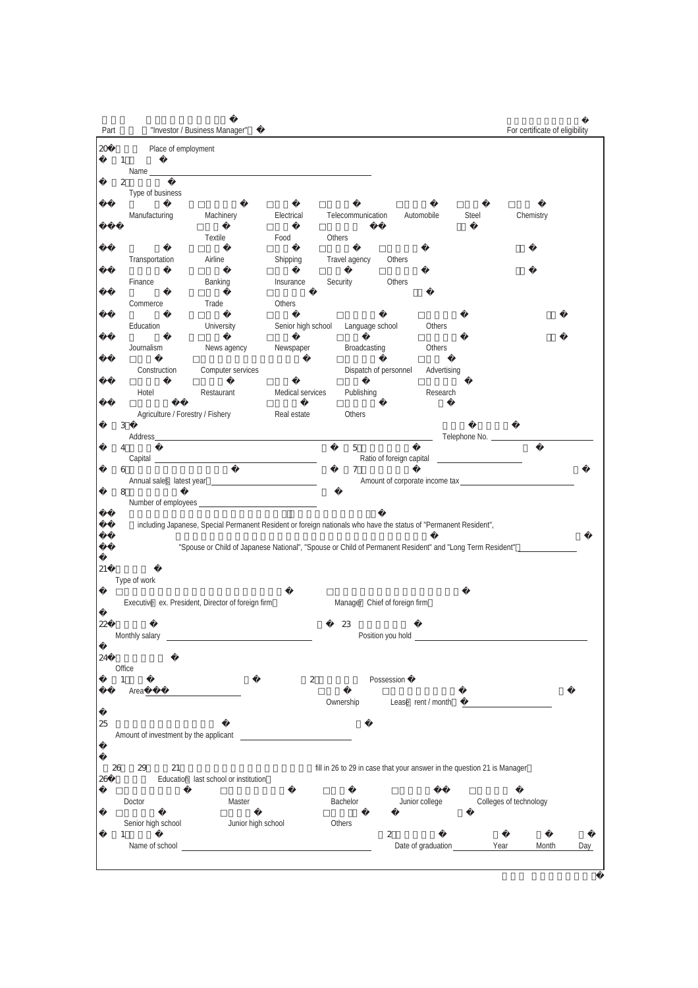| Part   |                                      | "Investor / Business Manager"              |                                                                                                                  |                    |           |                               |            |                                                                                                                                                                                                                                |                        |           | For certificate of eligibility |     |
|--------|--------------------------------------|--------------------------------------------|------------------------------------------------------------------------------------------------------------------|--------------------|-----------|-------------------------------|------------|--------------------------------------------------------------------------------------------------------------------------------------------------------------------------------------------------------------------------------|------------------------|-----------|--------------------------------|-----|
| $20\,$ |                                      | Place of employment                        |                                                                                                                  |                    |           |                               |            |                                                                                                                                                                                                                                |                        |           |                                |     |
|        | $\mathbf{1}$                         |                                            |                                                                                                                  |                    |           |                               |            |                                                                                                                                                                                                                                |                        |           |                                |     |
|        | $\boldsymbol{2}$<br>Type of business |                                            |                                                                                                                  |                    |           |                               |            |                                                                                                                                                                                                                                |                        |           |                                |     |
|        | Manufacturing                        |                                            | Machinery                                                                                                        | Electrical         |           | Telecommunication             |            | Automobile                                                                                                                                                                                                                     | Steel                  | Chemistry |                                |     |
|        |                                      |                                            | <b>Textile</b>                                                                                                   | Food               | Others    |                               |            |                                                                                                                                                                                                                                |                        |           |                                |     |
|        | Transportation                       |                                            | Airline                                                                                                          | Shipping           |           | Travel agency                 | Others     |                                                                                                                                                                                                                                |                        |           |                                |     |
|        | Finance                              |                                            | Banking                                                                                                          | Insurance          | Security  |                               | Others     |                                                                                                                                                                                                                                |                        |           |                                |     |
|        | Commerce                             |                                            | Trade                                                                                                            | Others             |           |                               |            |                                                                                                                                                                                                                                |                        |           |                                |     |
|        | Education                            |                                            | University                                                                                                       | Senior high school |           | Language school               |            | Others                                                                                                                                                                                                                         |                        |           |                                |     |
|        | Journalism                           |                                            | News agency                                                                                                      | Newspaper          |           | Broadcasting                  |            | Others                                                                                                                                                                                                                         |                        |           |                                |     |
|        |                                      | Construction                               | Computer services                                                                                                |                    |           | Dispatch of personnel         |            | Advertising                                                                                                                                                                                                                    |                        |           |                                |     |
|        | Hotel                                |                                            | Restaurant                                                                                                       | Medical services   |           | Publishing                    |            | Research                                                                                                                                                                                                                       |                        |           |                                |     |
|        | 3                                    | Agriculture / Forestry / Fishery           |                                                                                                                  | Real estate        |           | Others                        |            |                                                                                                                                                                                                                                |                        |           |                                |     |
|        |                                      |                                            |                                                                                                                  |                    |           |                               |            |                                                                                                                                                                                                                                |                        |           |                                |     |
|        | 4                                    |                                            | Capital <u>capital</u>                                                                                           |                    |           | $\mathbf 5$                   |            |                                                                                                                                                                                                                                |                        |           |                                |     |
|        | 6                                    |                                            |                                                                                                                  |                    |           | 7                             |            |                                                                                                                                                                                                                                |                        |           |                                |     |
|        | 8                                    |                                            |                                                                                                                  |                    |           |                               |            |                                                                                                                                                                                                                                |                        |           |                                |     |
|        |                                      |                                            | including Japanese, Special Permanent Resident or foreign nationals who have the status of "Permanent Resident", |                    |           |                               |            |                                                                                                                                                                                                                                |                        |           |                                |     |
|        |                                      |                                            | "Spouse or Child of Japanese National", "Spouse or Child of Permanent Resident" and "Long Term Resident" _       |                    |           |                               |            |                                                                                                                                                                                                                                |                        |           |                                |     |
| 21     |                                      |                                            |                                                                                                                  |                    |           |                               |            |                                                                                                                                                                                                                                |                        |           |                                |     |
|        | Type of work                         |                                            |                                                                                                                  |                    |           |                               |            |                                                                                                                                                                                                                                |                        |           |                                |     |
|        |                                      |                                            | Executive ex. President, Director of foreign firm                                                                |                    |           | Manager Chief of foreign firm |            |                                                                                                                                                                                                                                |                        |           |                                |     |
| 22     |                                      |                                            |                                                                                                                  |                    |           | 23                            |            | Position you hold experience and the problem of the state of the state of the state of the state of the state of the state of the state of the state of the state of the state of the state of the state of the state of the s |                        |           |                                |     |
| 24     |                                      |                                            |                                                                                                                  |                    |           |                               |            |                                                                                                                                                                                                                                |                        |           |                                |     |
|        | Office<br>$\mathbf{1}$               |                                            |                                                                                                                  | $\boldsymbol{2}$   |           |                               | Possession |                                                                                                                                                                                                                                |                        |           |                                |     |
|        |                                      |                                            |                                                                                                                  |                    | Ownership |                               |            | Lease rent / month                                                                                                                                                                                                             |                        |           |                                |     |
| 25     |                                      |                                            |                                                                                                                  |                    |           |                               |            |                                                                                                                                                                                                                                |                        |           |                                |     |
|        |                                      |                                            |                                                                                                                  |                    |           |                               |            |                                                                                                                                                                                                                                |                        |           |                                |     |
| 26     | 26<br>29                             | 21<br>Education last school or institution |                                                                                                                  |                    |           |                               |            | fill in 26 to 29 in case that your answer in the question 21 is Manager                                                                                                                                                        |                        |           |                                |     |
|        | Doctor                               |                                            | Master                                                                                                           |                    | Bachelor  |                               |            | Junior college                                                                                                                                                                                                                 | Colleges of technology |           |                                |     |
|        | Senior high school<br>$\mathbf{1}$   |                                            | Junior high school                                                                                               |                    | Others    |                               | 2          |                                                                                                                                                                                                                                |                        |           |                                |     |
|        |                                      |                                            | Name of school entry the state of school entry of the state of school entry.                                     |                    |           |                               |            |                                                                                                                                                                                                                                |                        |           | Month                          | Day |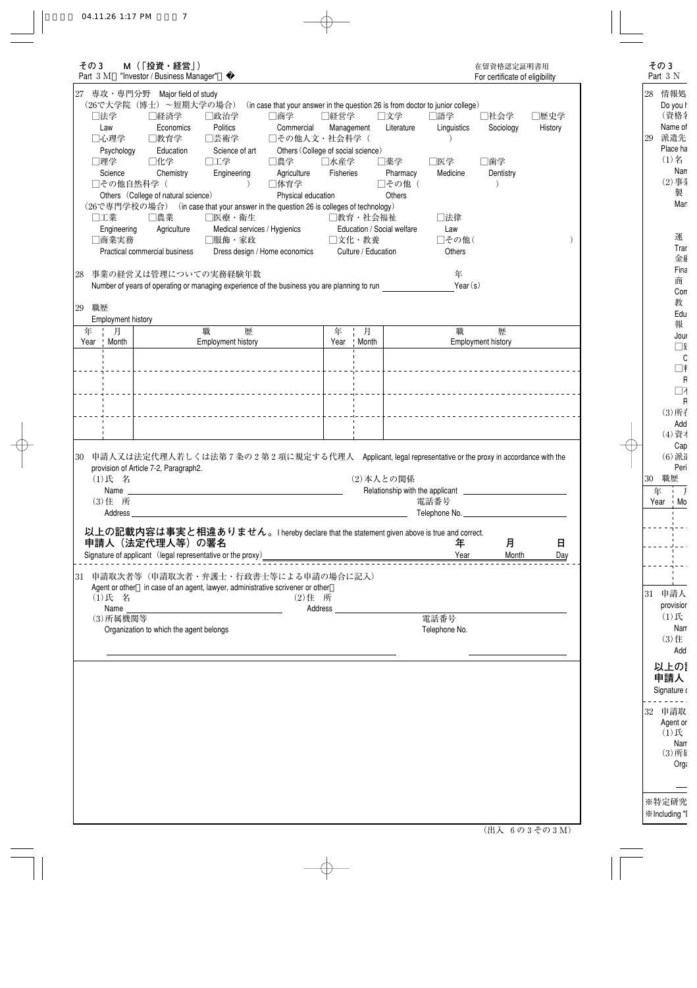| その3<br>Part 3 M                            | M (「投資・経営」)<br>"Investor / Business Manager"                                                                                                 |                                                                                           |                                                                                        |                          |                             |                                            |                                                                                       | 在留資格認定証明書用<br>For certificate of eligibility |                 |
|--------------------------------------------|----------------------------------------------------------------------------------------------------------------------------------------------|-------------------------------------------------------------------------------------------|----------------------------------------------------------------------------------------|--------------------------|-----------------------------|--------------------------------------------|---------------------------------------------------------------------------------------|----------------------------------------------|-----------------|
| 専攻・専門分野<br>27                              | Major field of study<br>(26で大学院 (博士) ~短期大学の場合)                                                                                               |                                                                                           | (in case that your answer in the question 26 is from doctor to junior college)         |                          |                             |                                            |                                                                                       |                                              |                 |
| □法学<br>Law<br>□心理学                         | □経済学<br>Economics<br>□教育学                                                                                                                    | □政治学<br>Politics<br>□芸術学                                                                  | □商学<br>Commercial<br>□その他人文・社会科学(                                                      | □経営学<br>Management       |                             | □文学<br>Literature                          | □語学<br>Linguistics                                                                    | □社会学<br>Sociology                            | □歴史学<br>History |
| Psychology<br>□理学<br>Science<br>□その他自然科学(  | Education<br>□化学<br>Chemistry<br>Others (College of natural science)                                                                         | Science of art<br>□工学<br>Engineering                                                      | Others (College of social science)<br>□農学<br>Agriculture<br>□体育学<br>Physical education | □水産学<br><b>Fisheries</b> |                             | □薬学<br>Pharmacy<br>□その他 (<br><b>Others</b> | □医学<br>Medicine                                                                       | □歯学<br>Dentistry                             |                 |
| □工業<br>Engineering<br>□商業実務                | (26で専門学校の場合) (in case that your answer in the question 26 is colleges of technology)<br>□農業<br>Agriculture                                   | □医療・衛生<br>Medical services / Hygienics<br>□服飾・家政                                          |                                                                                        |                          | □教育·社会福祉<br>□文化・教養          | Education / Social welfare                 | □法律<br>Law<br>□その他(                                                                   |                                              |                 |
| 28                                         | Practical commercial business<br>事業の経営又は管理についての実務経験年数                                                                                        |                                                                                           | Dress design / Home economics                                                          |                          | Culture / Education         |                                            | Others<br>年                                                                           |                                              |                 |
| 職歴<br>29                                   | Number of years of operating or managing experience of the business you are planning to run                                                  |                                                                                           |                                                                                        |                          |                             |                                            | Year $(s)$                                                                            |                                              |                 |
| Employment history<br>年<br>月               |                                                                                                                                              | 職<br>歴                                                                                    |                                                                                        | 年                        | 月<br>Month<br>$\vert \vert$ |                                            | 職                                                                                     | 歴                                            |                 |
| Month<br>Year                              |                                                                                                                                              | Employment history                                                                        |                                                                                        | Year                     |                             |                                            |                                                                                       | Employment history                           |                 |
|                                            |                                                                                                                                              |                                                                                           |                                                                                        |                          |                             |                                            |                                                                                       |                                              |                 |
|                                            |                                                                                                                                              |                                                                                           |                                                                                        |                          |                             |                                            |                                                                                       |                                              |                 |
| 30<br>(1)氏 名<br>Name<br>(3) 住 所<br>Address | 申請人又は法定代理人若しくは法第7条の2第2項に規定する代理人 Applicant, legal representative or the proxy in accordance with the<br>provision of Article 7-2, Paragraph2. | the control of the control of the control of the control of the control of the control of |                                                                                        |                          |                             | (2) 本人との関係                                 | Relationship with the applicant <b>contained</b> and the set of the applicant<br>電話番号 |                                              |                 |
|                                            | 以上の記載内容は事実と相違ありません。I hereby declare that the statement given above is true and correct.<br>申請人 (法定代理人等) の署名                                  |                                                                                           |                                                                                        |                          |                             |                                            | 年                                                                                     | 月                                            | 日               |
|                                            | 31 申請取次者等(申請取次者・弁護士・行政書士等による申請の場合に記入)<br>Agent or other in case of an agent, lawyer, administrative scrivener or other                       |                                                                                           |                                                                                        |                          |                             |                                            | Year                                                                                  | Month                                        | <u>Day</u>      |
| (1)氏 名<br>Name<br>(3) 所属機関等                |                                                                                                                                              |                                                                                           | (2) 住 所                                                                                | Address                  |                             |                                            | 電話番号                                                                                  |                                              |                 |
|                                            | Organization to which the agent belongs                                                                                                      |                                                                                           |                                                                                        |                          |                             |                                            | Telephone No.                                                                         |                                              |                 |
|                                            |                                                                                                                                              |                                                                                           |                                                                                        |                          |                             |                                            |                                                                                       |                                              |                 |
|                                            |                                                                                                                                              |                                                                                           |                                                                                        |                          |                             |                                            |                                                                                       |                                              |                 |
|                                            |                                                                                                                                              |                                                                                           |                                                                                        |                          |                             |                                            |                                                                                       |                                              |                 |
|                                            |                                                                                                                                              |                                                                                           |                                                                                        |                          |                             |                                            |                                                                                       |                                              |                 |
|                                            |                                                                                                                                              |                                                                                           |                                                                                        |                          |                             |                                            |                                                                                       |                                              |                 |
|                                            |                                                                                                                                              |                                                                                           |                                                                                        |                          |                             |                                            |                                                                                       |                                              |                 |
|                                            |                                                                                                                                              |                                                                                           |                                                                                        |                          |                             |                                            |                                                                                       |                                              | (出入 6の3その3M)    |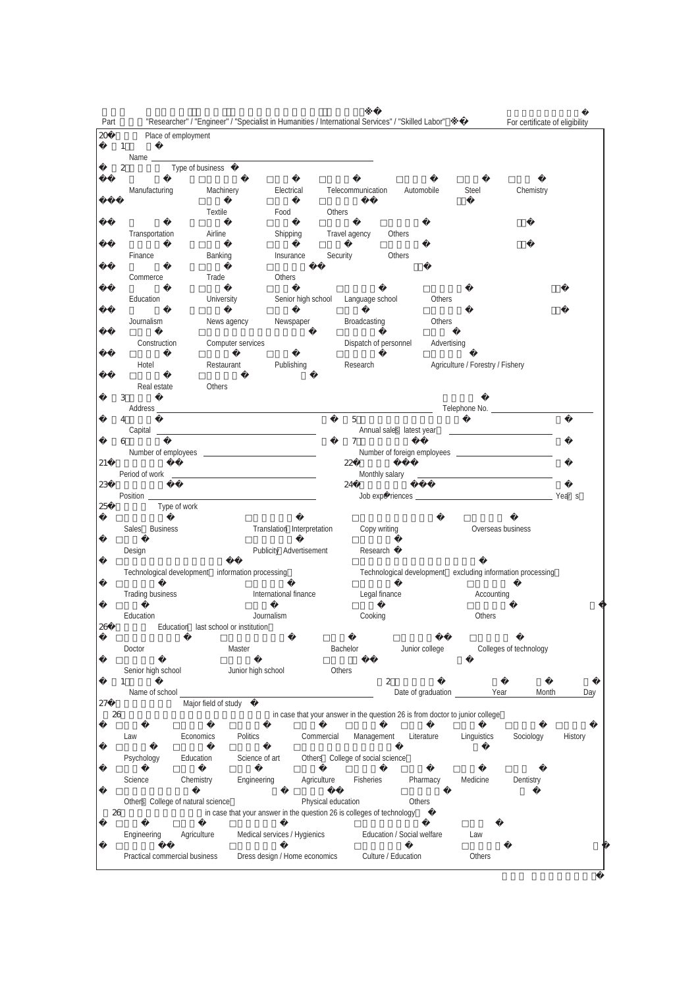| Part |                                                  | "Researcher" / "Engineer" / "Specialist in Humanities / International Services" / "Skilled Labor" |                                                                       |                                  |               |                       |                            |                |                                                                              | For certificate of eligibility                                                                                      |         |
|------|--------------------------------------------------|---------------------------------------------------------------------------------------------------|-----------------------------------------------------------------------|----------------------------------|---------------|-----------------------|----------------------------|----------------|------------------------------------------------------------------------------|---------------------------------------------------------------------------------------------------------------------|---------|
| 20   | Place of employment                              |                                                                                                   |                                                                       |                                  |               |                       |                            |                |                                                                              |                                                                                                                     |         |
|      | 1<br>Name                                        |                                                                                                   |                                                                       |                                  |               |                       |                            |                |                                                                              |                                                                                                                     |         |
|      | $\boldsymbol{2}$                                 | Type of business                                                                                  |                                                                       |                                  |               |                       |                            |                |                                                                              |                                                                                                                     |         |
|      | Manufacturing                                    | Machinery                                                                                         |                                                                       | Electrical                       |               | Telecommunication     | Automobile                 |                | Steel                                                                        | Chemistry                                                                                                           |         |
|      |                                                  | Textile                                                                                           | Food                                                                  |                                  | Others        |                       |                            |                |                                                                              |                                                                                                                     |         |
|      | Transportation                                   | Airline                                                                                           |                                                                       | Shipping                         | Travel agency |                       | Others                     |                |                                                                              |                                                                                                                     |         |
|      | Finance                                          | Banking                                                                                           |                                                                       | Insurance                        | Security      |                       | Others                     |                |                                                                              |                                                                                                                     |         |
|      | Commerce                                         | Trade                                                                                             | Others                                                                |                                  |               |                       |                            |                |                                                                              |                                                                                                                     |         |
|      | Education                                        | <b>University</b>                                                                                 |                                                                       | Senior high school               |               | Language school       |                            | Others         |                                                                              |                                                                                                                     |         |
|      | Journalism                                       | News agency                                                                                       |                                                                       | Newspaper                        |               | Broadcasting          |                            | Others         |                                                                              |                                                                                                                     |         |
|      | Construction                                     |                                                                                                   | Computer services                                                     |                                  |               | Dispatch of personnel |                            | Advertising    |                                                                              |                                                                                                                     |         |
|      | Hotel                                            | Restaurant                                                                                        |                                                                       | Publishing                       |               | Research              |                            |                | Agriculture / Forestry / Fishery                                             |                                                                                                                     |         |
|      | Real estate<br>3                                 | Others                                                                                            |                                                                       |                                  |               |                       |                            |                |                                                                              |                                                                                                                     |         |
|      |                                                  |                                                                                                   |                                                                       |                                  |               |                       |                            |                |                                                                              |                                                                                                                     |         |
|      | 4                                                |                                                                                                   |                                                                       |                                  | 5             |                       | Annual sales latest year   |                |                                                                              | <u> 1980 - John Stein, markin fan it ferstjer fan it ferstjer fan it ferstjer fan it ferstjer fan it ferstjer f</u> |         |
|      | 6                                                |                                                                                                   |                                                                       |                                  | $\tau$        |                       |                            |                |                                                                              |                                                                                                                     |         |
| 21   |                                                  |                                                                                                   |                                                                       |                                  | 22            |                       |                            |                |                                                                              |                                                                                                                     |         |
| 23   |                                                  |                                                                                                   |                                                                       |                                  | 24            |                       |                            |                |                                                                              |                                                                                                                     |         |
| 25   | Type of work                                     |                                                                                                   |                                                                       |                                  |               |                       |                            |                |                                                                              |                                                                                                                     |         |
|      | Sales Business                                   |                                                                                                   |                                                                       | Translation Interpretation       |               | Copy writing          |                            |                | Overseas business                                                            |                                                                                                                     |         |
|      | Design                                           |                                                                                                   |                                                                       | Publicity Advertisement          |               | Research              |                            |                |                                                                              |                                                                                                                     |         |
|      | Technological development information processing |                                                                                                   |                                                                       |                                  |               |                       | Technological development  |                |                                                                              | excluding information processing                                                                                    |         |
|      | <b>Trading business</b>                          |                                                                                                   | International finance                                                 |                                  |               | Legal finance         |                            |                | Accounting                                                                   |                                                                                                                     |         |
|      | Education                                        |                                                                                                   | Journalism                                                            |                                  |               | Cooking               |                            |                | Others                                                                       |                                                                                                                     |         |
| 26   |                                                  | Education last school or institution                                                              |                                                                       |                                  |               |                       |                            |                |                                                                              |                                                                                                                     |         |
|      | Doctor                                           |                                                                                                   | Master                                                                |                                  | Bachelor      |                       |                            | Junior college |                                                                              | Colleges of technology                                                                                              |         |
|      | Senior high school<br>1                          |                                                                                                   | Junior high school                                                    |                                  | Others        |                       | $\boldsymbol{2}$           |                |                                                                              |                                                                                                                     |         |
| 27   | Name of school                                   | Major field of study                                                                              |                                                                       |                                  |               |                       |                            |                | Date of graduation<br>Year                                                   | Month                                                                                                               | Day     |
| 26   |                                                  |                                                                                                   |                                                                       |                                  |               |                       |                            |                | in case that your answer in the question 26 is from doctor to junior college |                                                                                                                     |         |
|      | Law                                              | Economics                                                                                         | Politics                                                              | Commercial                       |               | Management            |                            | Literature     | Linguistics                                                                  | Sociology                                                                                                           | History |
|      | Psychology                                       | Education                                                                                         | Science of art                                                        | Others College of social science |               |                       |                            |                |                                                                              |                                                                                                                     |         |
|      | Science                                          | Chemistry                                                                                         | Engineering                                                           | Agriculture                      |               | Fisheries             |                            | Pharmacy       | Medicine                                                                     | Dentistry                                                                                                           |         |
| 26   | Others College of natural science                |                                                                                                   | in case that your answer in the question 26 is colleges of technology | Physical education               |               |                       | Others                     |                |                                                                              |                                                                                                                     |         |
|      | Engineering                                      | Agriculture                                                                                       | Medical services / Hygienics                                          |                                  |               |                       | Education / Social welfare |                | Law                                                                          |                                                                                                                     |         |
|      | Practical commercial business                    |                                                                                                   | Dress design / Home economics                                         |                                  |               |                       | Culture / Education        |                | Others                                                                       |                                                                                                                     |         |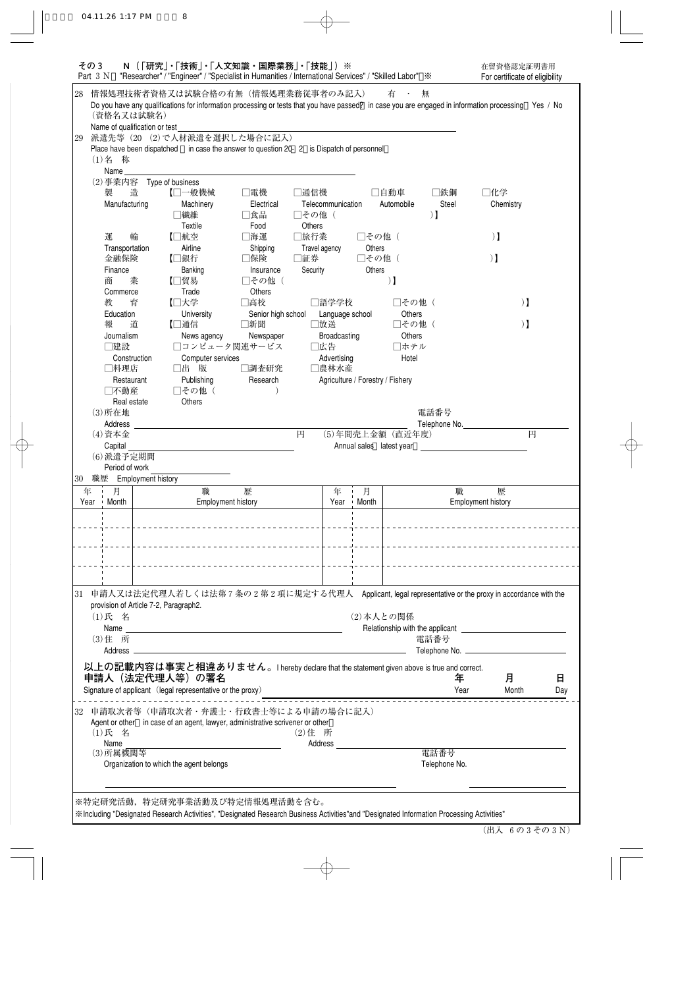| その3<br>Part $3 N$                                                                                                                        | N (「研究」・「技術」・「人文知識・国際業務」・「技能」)※<br>"Researcher" / "Engineer" / "Specialist in Humanities / International Services" / "Skilled Labor" $\cdot\$                                            |                           |                  |                   |                                  |                          |                               | 在留資格認定証明書用<br>For certificate of eligibility |     |
|------------------------------------------------------------------------------------------------------------------------------------------|------------------------------------------------------------------------------------------------------------------------------------------------------------------------------------------|---------------------------|------------------|-------------------|----------------------------------|--------------------------|-------------------------------|----------------------------------------------|-----|
| 28<br>(資格名又は試験名)                                                                                                                         | 情報処理技術者資格又は試験合格の有無(情報処理業務従事者のみ記入)<br>Do you have any qualifications for information processing or tests that you have passed? in case you are engaged in information processing Yes / No |                           |                  |                   |                                  | 有一・                      | 無                             |                                              |     |
| Name of qualification or test<br>29                                                                                                      | 派遣先等 (20 (2)で人材派遣を選択した場合に記入)                                                                                                                                                             |                           |                  |                   |                                  |                          |                               |                                              |     |
|                                                                                                                                          | Place have been dispatched in case the answer to question 20- 2 is Dispatch of personnel                                                                                                 |                           |                  |                   |                                  |                          |                               |                                              |     |
| (1)名 称                                                                                                                                   |                                                                                                                                                                                          |                           |                  |                   |                                  |                          |                               |                                              |     |
| Name                                                                                                                                     |                                                                                                                                                                                          |                           |                  |                   |                                  |                          |                               |                                              |     |
| (2) 事業内容 Type of business                                                                                                                |                                                                                                                                                                                          |                           |                  |                   |                                  |                          |                               |                                              |     |
| 製<br>造<br>Manufacturing                                                                                                                  | 【□一般機械<br>Machinery                                                                                                                                                                      | □電機<br>Electrical         | □通信機             | Telecommunication |                                  | □自動車<br>Automobile       | □鉄鋼<br>Steel                  | □化学<br>Chemistry                             |     |
|                                                                                                                                          | □繊維<br>Textile                                                                                                                                                                           | □食品<br>Food               | □その他 (<br>Others |                   |                                  |                          | $\mathbf{1}$                  |                                              |     |
| 運<br>輸                                                                                                                                   | 【□航空                                                                                                                                                                                     | □海運                       | □旅行業             |                   | □その他 (                           |                          |                               | $)$ ]                                        |     |
| Transportation                                                                                                                           | Airline                                                                                                                                                                                  | Shipping                  | Travel agency    |                   | Others                           |                          |                               |                                              |     |
| 金融保険                                                                                                                                     | 【□銀行                                                                                                                                                                                     | □保険                       | □証券              |                   | □その他 (                           |                          |                               | $)$ $\bf{l}$                                 |     |
| Finance                                                                                                                                  | Banking                                                                                                                                                                                  | Insurance                 | Security         |                   | Others                           |                          |                               |                                              |     |
| 商<br>業                                                                                                                                   | 【□貿易                                                                                                                                                                                     | □その他 (                    |                  |                   |                                  | $\mathbf{)}$             |                               |                                              |     |
| Commerce                                                                                                                                 | Trade                                                                                                                                                                                    | Others<br>□高校             |                  |                   |                                  | □その他(                    |                               |                                              |     |
| 教<br>育<br>Education                                                                                                                      | 【□大学<br>University                                                                                                                                                                       |                           |                  | □語学学校             |                                  | Others                   |                               | $\mathbf{1}$                                 |     |
| 報<br>道                                                                                                                                   | 【□通信                                                                                                                                                                                     | Senior high school<br>□新聞 | □放送              | Language school   |                                  | □その他(                    |                               | $)$ $\bf{l}$                                 |     |
| Journalism                                                                                                                               | News agency                                                                                                                                                                              | Newspaper                 |                  | Broadcasting      |                                  | Others                   |                               |                                              |     |
| □建設                                                                                                                                      | □コンピュータ関連サービス                                                                                                                                                                            |                           | □広告              |                   |                                  | □ホテル                     |                               |                                              |     |
| Construction                                                                                                                             | Computer services                                                                                                                                                                        |                           |                  | Advertising       |                                  | Hotel                    |                               |                                              |     |
| □料理店                                                                                                                                     | □出 版                                                                                                                                                                                     | □調査研究                     |                  | □農林水産             |                                  |                          |                               |                                              |     |
| Restaurant                                                                                                                               | Publishing                                                                                                                                                                               | Research                  |                  |                   | Agriculture / Forestry / Fishery |                          |                               |                                              |     |
| □不動産                                                                                                                                     | □その他 (                                                                                                                                                                                   |                           |                  |                   |                                  |                          |                               |                                              |     |
| Real estate                                                                                                                              | <b>Others</b>                                                                                                                                                                            |                           |                  |                   |                                  |                          |                               |                                              |     |
| $(3)$ 所在地                                                                                                                                |                                                                                                                                                                                          |                           |                  |                   |                                  |                          | 電話番号                          |                                              |     |
| Address                                                                                                                                  |                                                                                                                                                                                          |                           |                  |                   |                                  |                          | Telephone No.                 |                                              |     |
| (4) 資本金                                                                                                                                  |                                                                                                                                                                                          |                           | 円                |                   |                                  | (5)年間売上金額 (直近年度)         |                               | 円                                            |     |
| Capital<br>(6) 派遣予定期間                                                                                                                    |                                                                                                                                                                                          |                           |                  |                   |                                  | Annual sales latest year |                               |                                              |     |
| Period of work                                                                                                                           |                                                                                                                                                                                          |                           |                  |                   |                                  |                          |                               |                                              |     |
| 30 職歴 Employment history                                                                                                                 |                                                                                                                                                                                          |                           |                  |                   |                                  |                          |                               |                                              |     |
| 年 月 日                                                                                                                                    | 職                                                                                                                                                                                        | 歴                         |                  | 年 !               | 月                                |                          | 職                             | 歴                                            |     |
| Month<br>Year<br>$\mathbf{I}$                                                                                                            | Employment history                                                                                                                                                                       |                           |                  | Year              | ⊥ Month                          |                          |                               | Employment history                           |     |
|                                                                                                                                          |                                                                                                                                                                                          |                           |                  |                   |                                  |                          |                               |                                              |     |
|                                                                                                                                          |                                                                                                                                                                                          |                           |                  | . <u>.</u> .      |                                  |                          |                               |                                              |     |
|                                                                                                                                          |                                                                                                                                                                                          |                           |                  |                   | . <u>.</u>                       |                          |                               |                                              |     |
|                                                                                                                                          |                                                                                                                                                                                          |                           |                  |                   |                                  |                          |                               |                                              |     |
|                                                                                                                                          | ______________________________________                                                                                                                                                   |                           |                  |                   |                                  |                          |                               | ____________________________________         |     |
|                                                                                                                                          |                                                                                                                                                                                          |                           |                  |                   |                                  |                          |                               |                                              |     |
| 31<br>provision of Article 7-2, Paragraph2.                                                                                              | 申請人又は法定代理人若しくは法第7条の2第2項に規定する代理人 Applicant, legal representative or the proxy in accordance with the                                                                                      |                           |                  |                   |                                  |                          |                               |                                              |     |
| (1)氏 名                                                                                                                                   |                                                                                                                                                                                          |                           |                  |                   | (2) 本人との関係                       |                          |                               |                                              |     |
|                                                                                                                                          |                                                                                                                                                                                          |                           |                  |                   |                                  |                          |                               |                                              |     |
| (3) 住 所                                                                                                                                  |                                                                                                                                                                                          |                           |                  |                   |                                  |                          | 電話番号                          |                                              |     |
| Address __                                                                                                                               |                                                                                                                                                                                          |                           |                  |                   |                                  |                          | Telephone No. _______________ |                                              |     |
| 以上の記載内容は事実と相違ありません。I hereby declare that the statement given above is true and correct.                                                  |                                                                                                                                                                                          |                           |                  |                   |                                  |                          |                               |                                              |     |
| 申請人(法定代理人等)の署名                                                                                                                           |                                                                                                                                                                                          |                           |                  |                   |                                  |                          | 年                             | 月                                            | 日   |
| Signature of applicant (legal representative or the proxy)                                                                               |                                                                                                                                                                                          |                           |                  |                   |                                  |                          | Year                          | Month                                        | Day |
|                                                                                                                                          |                                                                                                                                                                                          |                           |                  |                   |                                  |                          |                               |                                              |     |
| 32                                                                                                                                       | 申請取次者等(申請取次者・弁護士・行政書士等による申請の場合に記入)                                                                                                                                                       |                           |                  |                   |                                  |                          |                               |                                              |     |
|                                                                                                                                          | Agent or other in case of an agent, lawyer, administrative scrivener or other                                                                                                            |                           |                  |                   |                                  |                          |                               |                                              |     |
| (1)氏 名                                                                                                                                   |                                                                                                                                                                                          |                           | (2) 住 所          |                   |                                  |                          |                               |                                              |     |
| Name<br>(3) 所属機関等                                                                                                                        |                                                                                                                                                                                          |                           |                  | Address           |                                  |                          | 電話番号                          |                                              |     |
|                                                                                                                                          | Organization to which the agent belongs                                                                                                                                                  |                           |                  |                   |                                  |                          | Telephone No.                 |                                              |     |
|                                                                                                                                          |                                                                                                                                                                                          |                           |                  |                   |                                  |                          |                               |                                              |     |
|                                                                                                                                          |                                                                                                                                                                                          |                           |                  |                   |                                  |                          |                               |                                              |     |
| ※特定研究活動, 特定研究事業活動及び特定情報処理活動を含む。                                                                                                          |                                                                                                                                                                                          |                           |                  |                   |                                  |                          |                               |                                              |     |
| ※Including "Designated Research Activities", "Designated Research Business Activities"and "Designated Information Processing Activities" |                                                                                                                                                                                          |                           |                  |                   |                                  |                          |                               |                                              |     |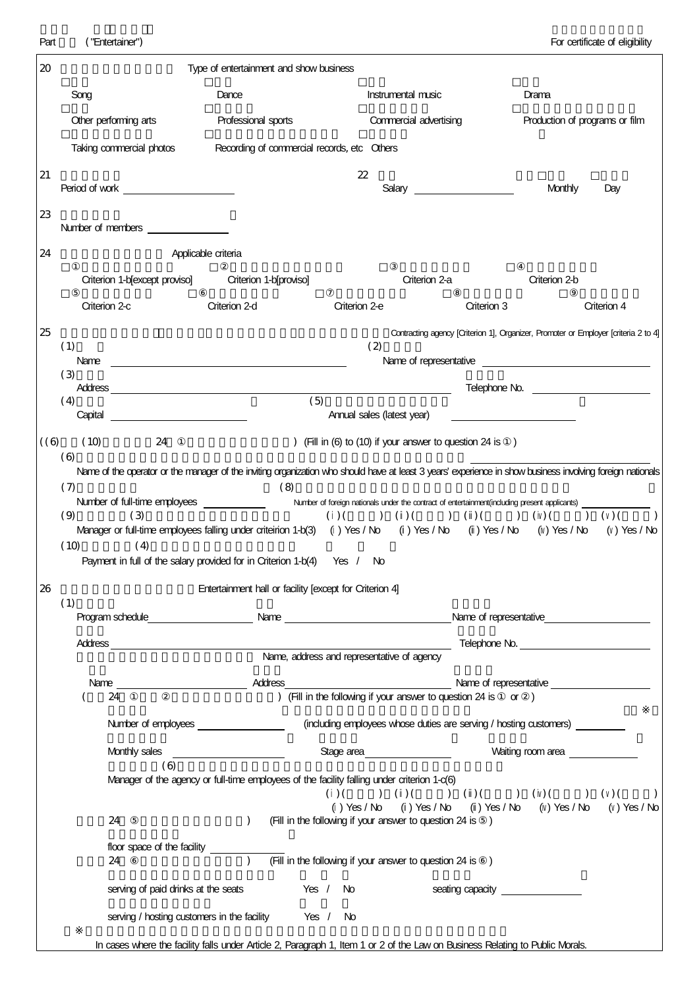| 20  |                                                      | Type of entertainment and show business                                                                                                                                                                                                                                                                                                                                                                            |                                                           |                                                                                                                                                                                                                                                                                                |                                             |  |
|-----|------------------------------------------------------|--------------------------------------------------------------------------------------------------------------------------------------------------------------------------------------------------------------------------------------------------------------------------------------------------------------------------------------------------------------------------------------------------------------------|-----------------------------------------------------------|------------------------------------------------------------------------------------------------------------------------------------------------------------------------------------------------------------------------------------------------------------------------------------------------|---------------------------------------------|--|
|     | Song                                                 | Dance                                                                                                                                                                                                                                                                                                                                                                                                              | Instrumental music                                        |                                                                                                                                                                                                                                                                                                | Drama                                       |  |
|     | Other performing arts                                | Professional sports                                                                                                                                                                                                                                                                                                                                                                                                |                                                           | Commercial advertising                                                                                                                                                                                                                                                                         | Production of programs or film              |  |
|     | Taking commercial photos                             | Recording of commercial records, etc Others                                                                                                                                                                                                                                                                                                                                                                        |                                                           |                                                                                                                                                                                                                                                                                                |                                             |  |
| 21  |                                                      |                                                                                                                                                                                                                                                                                                                                                                                                                    | 22                                                        |                                                                                                                                                                                                                                                                                                | Monthly<br>Day                              |  |
| 23  | Number of members _______________                    |                                                                                                                                                                                                                                                                                                                                                                                                                    |                                                           |                                                                                                                                                                                                                                                                                                |                                             |  |
| 24  |                                                      | Applicable criteria                                                                                                                                                                                                                                                                                                                                                                                                |                                                           |                                                                                                                                                                                                                                                                                                |                                             |  |
|     | Criterion 1-b[except proviso] Criterion 1-b[proviso] |                                                                                                                                                                                                                                                                                                                                                                                                                    |                                                           | Criterion 2-a                                                                                                                                                                                                                                                                                  | Criterion 2-b                               |  |
|     | Criterion 2-c                                        | Criterion 2-d                                                                                                                                                                                                                                                                                                                                                                                                      | Criterion 2-e                                             | Criterion 3                                                                                                                                                                                                                                                                                    | Criterion 4                                 |  |
| 25  | (1)                                                  |                                                                                                                                                                                                                                                                                                                                                                                                                    | (2)                                                       | Contracting agency [Criterion 1], Organizer, Promoter or Employer [criteria 2 to 4]                                                                                                                                                                                                            |                                             |  |
|     | (3)                                                  |                                                                                                                                                                                                                                                                                                                                                                                                                    |                                                           |                                                                                                                                                                                                                                                                                                | Telephone No. <u>______________________</u> |  |
|     | (4)                                                  | (5)                                                                                                                                                                                                                                                                                                                                                                                                                | Annual sales (latest year)                                |                                                                                                                                                                                                                                                                                                |                                             |  |
| (6) | (10)<br>24                                           |                                                                                                                                                                                                                                                                                                                                                                                                                    |                                                           | (Fill in (6) to (10) if your answer to question 24 is )                                                                                                                                                                                                                                        |                                             |  |
| 26  | (9)<br>(3)<br>(10)<br>(4)                            | Number of full-time employees _______________ Number of foreign nationals under the contract of entertainment(including present applicants) __<br>Manager or full-time employees falling under criteirion 1-b(3) () Yes / No () Yes / No () Yes / No () Yes / No () Yes / No<br>Payment in full of the salary provided for in Criterion 1-b(4) Yes / No<br>Entertainment hall or facility [except for Criterion 4] |                                                           |                                                                                                                                                                                                                                                                                                |                                             |  |
|     | (1)                                                  | Program schedule example and the Name example of the Name of representative and the Name of representative                                                                                                                                                                                                                                                                                                         |                                                           |                                                                                                                                                                                                                                                                                                |                                             |  |
|     |                                                      |                                                                                                                                                                                                                                                                                                                                                                                                                    |                                                           |                                                                                                                                                                                                                                                                                                | Telephone No.                               |  |
|     |                                                      |                                                                                                                                                                                                                                                                                                                                                                                                                    | Name, address and representative of agency                |                                                                                                                                                                                                                                                                                                |                                             |  |
|     | 24                                                   |                                                                                                                                                                                                                                                                                                                                                                                                                    |                                                           | Name of representative explanation of the state of the state of the state of the state of the state of the state of the state of the state of the state of the state of the state of the state of the state of the state of th<br>(Fill in the following if your answer to question 24 is or ) |                                             |  |
|     |                                                      | Number of employees                                                                                                                                                                                                                                                                                                                                                                                                |                                                           | (induding employees whose duties are serving / hosting customers)                                                                                                                                                                                                                              |                                             |  |
|     | Monthly sales                                        | <u> 1980 - Johann Barbara, martin a</u>                                                                                                                                                                                                                                                                                                                                                                            | Stage area                                                |                                                                                                                                                                                                                                                                                                | Waiting room area                           |  |
|     | (6)                                                  | Manager of the agency or full-time employees of the facility falling under criterion 1-c(6)                                                                                                                                                                                                                                                                                                                        |                                                           | $( ) ( ) ( ) ( ) ( ) ( ) ( ) ( ) ( ) ( ) ( ) ( ) ( ) ( ) ( ) ( ) ( ) ( )$<br>() Yes / No () Yes / No () Yes / No () Yes / No () Yes / No                                                                                                                                                       |                                             |  |
|     | 24                                                   | $\lambda$                                                                                                                                                                                                                                                                                                                                                                                                          | (Fill in the following if your answer to question 24 is ) |                                                                                                                                                                                                                                                                                                |                                             |  |
|     | floor space of the facility<br>24                    | $\lambda$                                                                                                                                                                                                                                                                                                                                                                                                          | (Fill in the following if your answer to question 24 is ) |                                                                                                                                                                                                                                                                                                |                                             |  |
|     | serving of paid drinks at the seats                  |                                                                                                                                                                                                                                                                                                                                                                                                                    | Yes / No                                                  | seating capacity seating of the seating capacity                                                                                                                                                                                                                                               |                                             |  |
|     |                                                      | serving / hosting customers in the facility Yes / No                                                                                                                                                                                                                                                                                                                                                               |                                                           |                                                                                                                                                                                                                                                                                                |                                             |  |
|     |                                                      | In cases where the facility falls under Article 2, Paragraph 1, Item 1 or 2 of the Law on Business Relating to Public Morals.                                                                                                                                                                                                                                                                                      |                                                           |                                                                                                                                                                                                                                                                                                |                                             |  |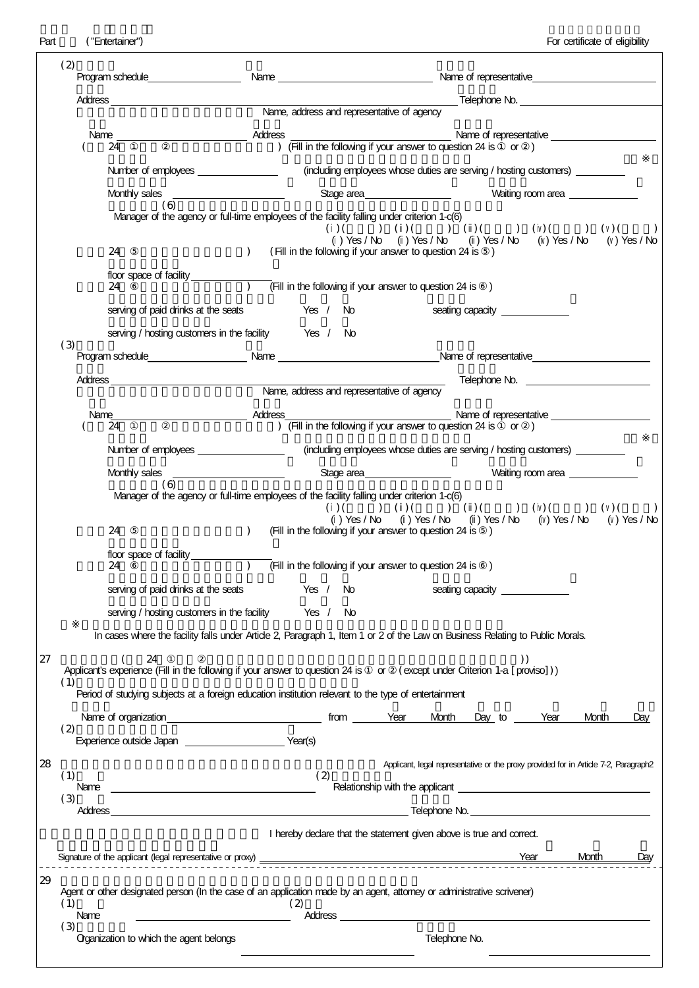$\overline{\phantom{a}}$ 

| (2)         |                                                                                                                                                                                                                                      |                                        |                                                                                                                                                                                                                                                                                                                     |  |                                                                                                                                                                                                                                |      |                   |                   |     |
|-------------|--------------------------------------------------------------------------------------------------------------------------------------------------------------------------------------------------------------------------------------|----------------------------------------|---------------------------------------------------------------------------------------------------------------------------------------------------------------------------------------------------------------------------------------------------------------------------------------------------------------------|--|--------------------------------------------------------------------------------------------------------------------------------------------------------------------------------------------------------------------------------|------|-------------------|-------------------|-----|
|             |                                                                                                                                                                                                                                      |                                        | Name, address and representative of agency                                                                                                                                                                                                                                                                          |  |                                                                                                                                                                                                                                |      |                   |                   |     |
|             |                                                                                                                                                                                                                                      |                                        |                                                                                                                                                                                                                                                                                                                     |  |                                                                                                                                                                                                                                |      |                   |                   |     |
|             | 24                                                                                                                                                                                                                                   |                                        | $\frac{1}{2}$ $\frac{1}{2}$ $\frac{1}{2}$ $\frac{1}{2}$ $\frac{1}{2}$ $\frac{1}{2}$ $\frac{1}{2}$ $\frac{1}{2}$ $\frac{1}{2}$ $\frac{1}{2}$ $\frac{1}{2}$ $\frac{1}{2}$ $\frac{1}{2}$ $\frac{1}{2}$ $\frac{1}{2}$ $\frac{1}{2}$ $\frac{1}{2}$ $\frac{1}{2}$ $\frac{1}{2}$ $\frac{1}{2}$ $\frac{1}{2}$ $\frac{1}{2}$ |  |                                                                                                                                                                                                                                |      |                   |                   |     |
|             | Number of employees __________________                                                                                                                                                                                               |                                        |                                                                                                                                                                                                                                                                                                                     |  | (including employees whose duties are serving / hosting customers) _____________                                                                                                                                               |      |                   |                   |     |
|             | Monthly sales                                                                                                                                                                                                                        | the control of the control of the con- |                                                                                                                                                                                                                                                                                                                     |  |                                                                                                                                                                                                                                |      |                   | Waiting room area |     |
|             | 66)<br>Manager of the agency or full-time employees of the facility falling under criterion 1-c(6)                                                                                                                                   |                                        |                                                                                                                                                                                                                                                                                                                     |  | () Yes / No () Yes / No () Yes / No () Yes / No () Yes / No                                                                                                                                                                    |      |                   |                   |     |
|             | 24                                                                                                                                                                                                                                   | $\mathcal{L}$                          | (Fill in the following if your answer to question 24 is )                                                                                                                                                                                                                                                           |  |                                                                                                                                                                                                                                |      |                   |                   |     |
|             | 24                                                                                                                                                                                                                                   |                                        | (Fill in the following if your answer to question 24 is $)$                                                                                                                                                                                                                                                         |  |                                                                                                                                                                                                                                |      |                   |                   |     |
|             | serving of paid drinks at the seats Yes / No                                                                                                                                                                                         |                                        |                                                                                                                                                                                                                                                                                                                     |  |                                                                                                                                                                                                                                |      |                   |                   |     |
|             | serving / hosting customers in the facility Yes / No                                                                                                                                                                                 |                                        |                                                                                                                                                                                                                                                                                                                     |  |                                                                                                                                                                                                                                |      |                   |                   |     |
| (3)         | Program schedule example and the Name example of representative example and the Name of representative                                                                                                                               |                                        |                                                                                                                                                                                                                                                                                                                     |  |                                                                                                                                                                                                                                |      |                   |                   |     |
|             |                                                                                                                                                                                                                                      |                                        |                                                                                                                                                                                                                                                                                                                     |  |                                                                                                                                                                                                                                |      |                   |                   |     |
|             |                                                                                                                                                                                                                                      |                                        | Name, address and representative of agency                                                                                                                                                                                                                                                                          |  |                                                                                                                                                                                                                                |      |                   |                   |     |
|             | 24                                                                                                                                                                                                                                   |                                        | ) (Fill in the following if your answer to question $24$ is or )                                                                                                                                                                                                                                                    |  |                                                                                                                                                                                                                                |      |                   |                   |     |
|             | Number of employees ________________                                                                                                                                                                                                 |                                        |                                                                                                                                                                                                                                                                                                                     |  | (induding employees whose duties are serving / hosting customers)                                                                                                                                                              |      |                   |                   |     |
|             | Monthly sales<br>(6)                                                                                                                                                                                                                 |                                        |                                                                                                                                                                                                                                                                                                                     |  | Stage area_____________________                                                                                                                                                                                                |      | Waiting room area |                   |     |
|             | Manager of the agency or full-time employees of the facility falling under criterion 1-c(6)<br>24                                                                                                                                    | $\mathcal{L}$                          | (Fill in the following if your answer to question 24 is )                                                                                                                                                                                                                                                           |  | $( ) ( ) ( ) ( ) ( ) ( ) ( ) ( ) ( ) ( ) ( ) ( ) ( ) ( ) ( ) ( ) ( ) ( )$<br>() Yes / No () Yes / No () Yes / No () Yes / No () Yes / No                                                                                       |      |                   |                   |     |
|             | floor space of facility $\qquad \qquad$<br>24                                                                                                                                                                                        |                                        | (Fill in the following if your answer to question $24$ is $)$                                                                                                                                                                                                                                                       |  |                                                                                                                                                                                                                                |      |                   |                   |     |
|             | serving of paid drinks at the seats <b>Seating Capacity</b> example a seating capacity example of paid drinks at the seats                                                                                                           |                                        |                                                                                                                                                                                                                                                                                                                     |  |                                                                                                                                                                                                                                |      |                   |                   |     |
|             | serving / hosting customers in the facility                                                                                                                                                                                          |                                        | Yes / No                                                                                                                                                                                                                                                                                                            |  |                                                                                                                                                                                                                                |      |                   |                   |     |
|             | In cases where the facility falls under Article 2, Paragraph 1, Item 1 or 2 of the Law on Business Relating to Public Morals.                                                                                                        |                                        |                                                                                                                                                                                                                                                                                                                     |  |                                                                                                                                                                                                                                |      |                   |                   |     |
|             | 24<br>Applicant's experience (Fill in the following if your answer to question 24 is or (except under Criterion 1-a [proviso]))                                                                                                      |                                        |                                                                                                                                                                                                                                                                                                                     |  |                                                                                                                                                                                                                                |      |                   |                   |     |
| (1)         | Period of studying subjects at a foreign education institution relevant to the type of entertainment                                                                                                                                 |                                        |                                                                                                                                                                                                                                                                                                                     |  |                                                                                                                                                                                                                                |      |                   |                   |     |
|             |                                                                                                                                                                                                                                      |                                        |                                                                                                                                                                                                                                                                                                                     |  |                                                                                                                                                                                                                                |      |                   |                   |     |
| (2)         |                                                                                                                                                                                                                                      |                                        |                                                                                                                                                                                                                                                                                                                     |  | Month Day to Year                                                                                                                                                                                                              |      |                   | Month             | Day |
|             |                                                                                                                                                                                                                                      |                                        |                                                                                                                                                                                                                                                                                                                     |  |                                                                                                                                                                                                                                |      |                   |                   |     |
| (1)         |                                                                                                                                                                                                                                      |                                        | (2)                                                                                                                                                                                                                                                                                                                 |  | Applicant, legal representative or the proxy provided for in Artide 7-2, Paragraph2                                                                                                                                            |      |                   |                   |     |
| Name<br>(3) | <u> 1989 - Johann John Stein, markin fan it ferskearre fan it ferskearre fan it ferskearre fan it ferskearre fan</u>                                                                                                                 |                                        |                                                                                                                                                                                                                                                                                                                     |  |                                                                                                                                                                                                                                |      |                   |                   |     |
| Address     | <u>in the contract of the contract of the contract of the contract of the contract of the contract of the contract of the contract of the contract of the contract of the contract of the contract of the contract of the contra</u> |                                        |                                                                                                                                                                                                                                                                                                                     |  |                                                                                                                                                                                                                                |      |                   |                   |     |
|             |                                                                                                                                                                                                                                      |                                        | I hereby dedare that the statement given above is true and correct.                                                                                                                                                                                                                                                 |  |                                                                                                                                                                                                                                |      |                   |                   |     |
|             |                                                                                                                                                                                                                                      |                                        |                                                                                                                                                                                                                                                                                                                     |  |                                                                                                                                                                                                                                | Year |                   | Month             | Day |
| (1)<br>Name | Agent or other designated person (In the case of an application made by an agent, attomey or administrative scrivener)                                                                                                               |                                        | (2)                                                                                                                                                                                                                                                                                                                 |  | Address and the contract of the contract of the contract of the contract of the contract of the contract of the contract of the contract of the contract of the contract of the contract of the contract of the contract of th |      |                   |                   |     |
| (3)         |                                                                                                                                                                                                                                      |                                        |                                                                                                                                                                                                                                                                                                                     |  |                                                                                                                                                                                                                                |      |                   |                   |     |
|             | Organization to which the agent belongs                                                                                                                                                                                              |                                        |                                                                                                                                                                                                                                                                                                                     |  | Telephone No.                                                                                                                                                                                                                  |      |                   |                   |     |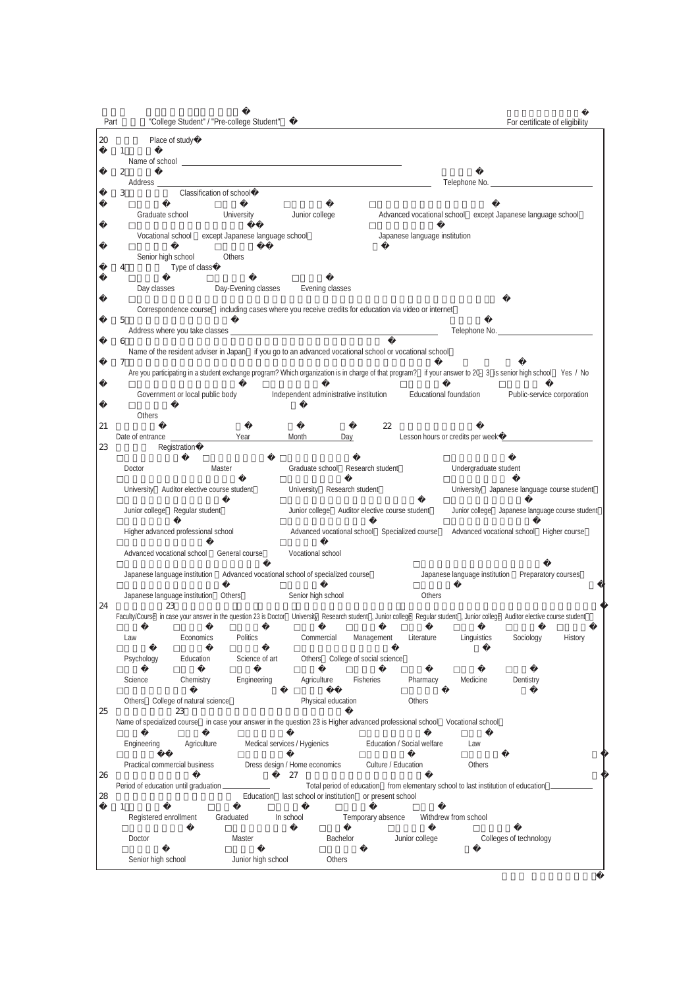| Part   | "College Student" / "Pre-college Student"                                                                                                                                   |                                                                                                                                                                                                                               |                                                                                   | For certificate of eligibility                             |
|--------|-----------------------------------------------------------------------------------------------------------------------------------------------------------------------------|-------------------------------------------------------------------------------------------------------------------------------------------------------------------------------------------------------------------------------|-----------------------------------------------------------------------------------|------------------------------------------------------------|
| $20\,$ | Place of study                                                                                                                                                              |                                                                                                                                                                                                                               |                                                                                   |                                                            |
|        | 1                                                                                                                                                                           |                                                                                                                                                                                                                               |                                                                                   |                                                            |
|        | $\boldsymbol{2}$<br>Address ____                                                                                                                                            | the control of the control of the control of the control of the control of the control of the control of the control of the control of the control of the control of the control of the control of the control of the control |                                                                                   | Telephone No.                                              |
|        | Classification of school<br>3                                                                                                                                               |                                                                                                                                                                                                                               |                                                                                   |                                                            |
|        | Graduate school<br>University                                                                                                                                               | Junior college                                                                                                                                                                                                                |                                                                                   | Advanced vocational school except Japanese language school |
|        | Vocational school except Japanese language school                                                                                                                           |                                                                                                                                                                                                                               | Japanese language institution                                                     |                                                            |
|        | Senior high school<br>Others<br>Type of class<br>4                                                                                                                          |                                                                                                                                                                                                                               |                                                                                   |                                                            |
|        | Day classes                                                                                                                                                                 | Evening classes<br>Day-Evening classes                                                                                                                                                                                        |                                                                                   |                                                            |
|        | 5                                                                                                                                                                           | Correspondence course including cases where you receive credits for education via video or internet                                                                                                                           |                                                                                   |                                                            |
|        |                                                                                                                                                                             |                                                                                                                                                                                                                               |                                                                                   | Telephone No.                                              |
|        | 6                                                                                                                                                                           | Name of the resident adviser in Japan if you go to an advanced vocational school or vocational school                                                                                                                         |                                                                                   |                                                            |
|        |                                                                                                                                                                             | Are you participating in a student exchange program? Which organization is in charge of that program? if your answer to 20- 3 is senior high school Yes / No                                                                  |                                                                                   |                                                            |
|        | Government or local public body                                                                                                                                             | Independent administrative institution                                                                                                                                                                                        | <b>Educational foundation</b>                                                     | Public-service corporation                                 |
|        | Others                                                                                                                                                                      |                                                                                                                                                                                                                               |                                                                                   |                                                            |
| 21     | Date of entrance                                                                                                                                                            | Year<br>Month<br>Day                                                                                                                                                                                                          | 22                                                                                |                                                            |
| 23     | Registration                                                                                                                                                                |                                                                                                                                                                                                                               |                                                                                   |                                                            |
|        | Master<br>Doctor                                                                                                                                                            | Graduate school Research student                                                                                                                                                                                              |                                                                                   | Undergraduate student                                      |
|        | University Auditor elective course student                                                                                                                                  | University Research student                                                                                                                                                                                                   |                                                                                   | University Japanese language course student                |
|        | Junior college Regular student                                                                                                                                              |                                                                                                                                                                                                                               | Junior college Auditor elective course student                                    | Junior college Japanese language course student            |
|        | Higher advanced professional school                                                                                                                                         |                                                                                                                                                                                                                               | Advanced vocational school Specialized course                                     | Advanced vocational school Higher course                   |
|        | Advanced vocational school                                                                                                                                                  | Vocational school<br>General course                                                                                                                                                                                           |                                                                                   |                                                            |
|        | Japanese language institution                                                                                                                                               | Advanced vocational school of specialized course                                                                                                                                                                              | Japanese language institution                                                     | Preparatory courses                                        |
| 24     | Japanese language institution Others<br>23                                                                                                                                  | Senior high school                                                                                                                                                                                                            | Others                                                                            |                                                            |
|        | Faculty/Course in case your answer in the question 23 is Doctor University Research student, Junior college Regular student, Junior college Auditor elective course student |                                                                                                                                                                                                                               |                                                                                   |                                                            |
|        | Economics<br>Law                                                                                                                                                            | Politics<br>Commercial                                                                                                                                                                                                        | Management<br>Literature                                                          | Linguistics<br>Sociology<br>History                        |
|        | Psychology<br>Education                                                                                                                                                     | Science of art<br>Others                                                                                                                                                                                                      | College of social science                                                         |                                                            |
|        | Science<br>Chemistry                                                                                                                                                        | Engineering<br>Agriculture                                                                                                                                                                                                    | <b>Fisheries</b><br>Pharmacy<br>Medicine                                          | Dentistry                                                  |
| 25     | College of natural science<br>Others<br>23                                                                                                                                  | Physical education                                                                                                                                                                                                            | Others                                                                            |                                                            |
|        | Name of specialized course in case your answer in the question 23 is Higher advanced professional school Vocational school                                                  |                                                                                                                                                                                                                               |                                                                                   |                                                            |
|        | Engineering<br>Agriculture                                                                                                                                                  | Medical services / Hygienics                                                                                                                                                                                                  | Education / Social welfare<br>Law                                                 |                                                            |
| 26     | Practical commercial business                                                                                                                                               | Dress design / Home economics<br>27                                                                                                                                                                                           | Culture / Education                                                               | Others                                                     |
| 28     | Period of education until graduation                                                                                                                                        | Education<br>last school or institution or present school                                                                                                                                                                     | Total period of education from elementary school to last institution of education |                                                            |
|        | 1<br>Registered enrollment<br>Graduated                                                                                                                                     | In school                                                                                                                                                                                                                     | Temporary absence<br>Withdrew from school                                         |                                                            |
|        | Doctor                                                                                                                                                                      | Master<br>Bachelor                                                                                                                                                                                                            | Junior college                                                                    | Colleges of technology                                     |
|        | Senior high school                                                                                                                                                          | Junior high school<br>Others                                                                                                                                                                                                  |                                                                                   |                                                            |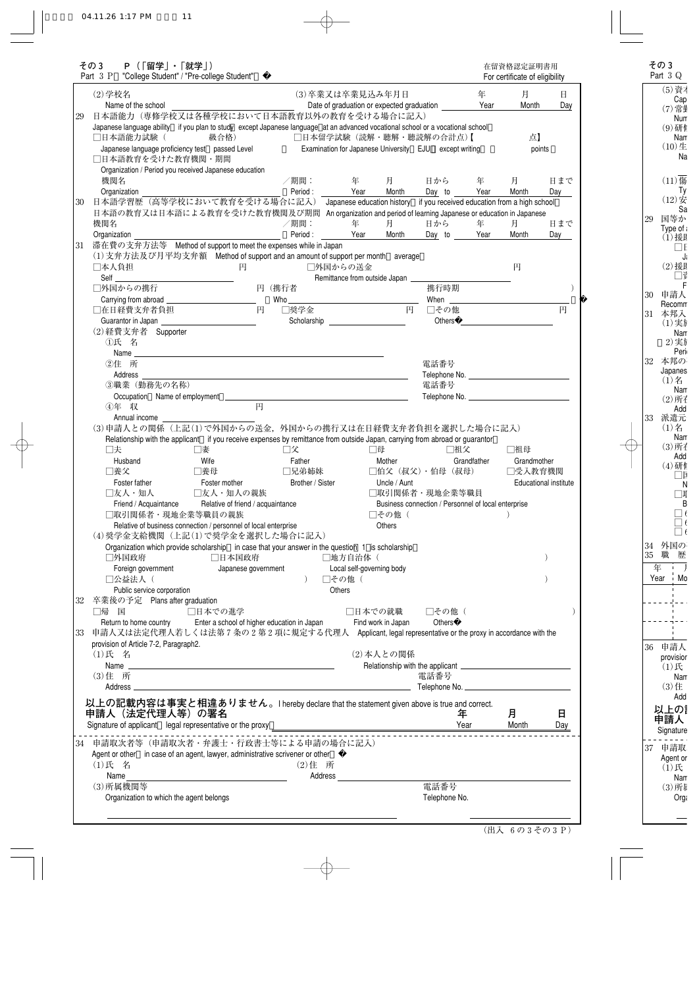| その3          | - P (   留学」・   就学」)                     | Part 3 P "College Student" / "Pre-college Student"                                                                                                                                                                                                                                                                                                                                                                               |                     |    |                  |                                       |               |              |                                                             |             | For certificate of eligibility                                                                                                                                                                                                 |                                     |
|--------------|-----------------------------------------|----------------------------------------------------------------------------------------------------------------------------------------------------------------------------------------------------------------------------------------------------------------------------------------------------------------------------------------------------------------------------------------------------------------------------------|---------------------|----|------------------|---------------------------------------|---------------|--------------|-------------------------------------------------------------|-------------|--------------------------------------------------------------------------------------------------------------------------------------------------------------------------------------------------------------------------------|-------------------------------------|
| (2)学校名       |                                         |                                                                                                                                                                                                                                                                                                                                                                                                                                  |                     |    |                  | (3)卒業又は卒業見込み年月日                       |               |              |                                                             | 年           | 月                                                                                                                                                                                                                              | Η.                                  |
|              | Name of the school                      |                                                                                                                                                                                                                                                                                                                                                                                                                                  |                     |    |                  |                                       |               |              | Date of graduation or expected graduation ____________ Year |             | Month                                                                                                                                                                                                                          | Day                                 |
|              |                                         | 日本語能力(専修学校又は各種学校において日本語教育以外の教育を受ける場合に記入)                                                                                                                                                                                                                                                                                                                                                                                         |                     |    |                  |                                       |               |              |                                                             |             |                                                                                                                                                                                                                                |                                     |
|              |                                         | Japanese language ability if you plan to study except Japanese language at an advanced vocational school or a vocational school                                                                                                                                                                                                                                                                                                  |                     |    |                  |                                       |               |              |                                                             |             |                                                                                                                                                                                                                                |                                     |
|              | □日本語能力試験(                               | 級合格)                                                                                                                                                                                                                                                                                                                                                                                                                             |                     |    |                  |                                       |               |              | □日本留学試験(読解・聴解・聴読解の合計点)【                                     |             | 点】                                                                                                                                                                                                                             |                                     |
|              |                                         | Japanese language proficiency test passed Level                                                                                                                                                                                                                                                                                                                                                                                  |                     |    |                  |                                       |               |              | Examination for Japanese University EJU except writing      |             | points                                                                                                                                                                                                                         |                                     |
|              | □日本語教育を受けた教育機関・期間                       |                                                                                                                                                                                                                                                                                                                                                                                                                                  |                     |    |                  |                                       |               |              |                                                             |             |                                                                                                                                                                                                                                |                                     |
| 機関名          |                                         | Organization / Period you received Japanese education                                                                                                                                                                                                                                                                                                                                                                            |                     |    |                  | /期間:       年     月     1              |               |              | 日から 年                                                       |             | 月                                                                                                                                                                                                                              | 日まで                                 |
| Organization |                                         |                                                                                                                                                                                                                                                                                                                                                                                                                                  |                     |    |                  | Period: Year                          |               | Month        | Day to Year                                                 |             | Month                                                                                                                                                                                                                          | Day                                 |
|              |                                         | 日本語学習歴 (高等学校において教育を受ける場合に記入) Japanese education history if you received education from a high school                                                                                                                                                                                                                                                                                                                             |                     |    |                  |                                       |               |              |                                                             |             |                                                                                                                                                                                                                                |                                     |
|              |                                         | 日本語の教育又は日本語による教育を受けた教育機関及び期間 An organization and period of learning Japanese or education in Japanese                                                                                                                                                                                                                                                                                                                            |                     |    |                  |                                       |               |              |                                                             |             |                                                                                                                                                                                                                                |                                     |
| 機関名          |                                         |                                                                                                                                                                                                                                                                                                                                                                                                                                  |                     |    | /期間:             | 年                                     |               | 月            | 日から                                                         | 年           | 月                                                                                                                                                                                                                              | 日まで                                 |
| Organization |                                         | $\overline{\phantom{a}}$ . The contract of $\overline{\phantom{a}}$ , $\overline{\phantom{a}}$ , $\overline{\phantom{a}}$ , $\overline{\phantom{a}}$ , $\overline{\phantom{a}}$ , $\overline{\phantom{a}}$ , $\overline{\phantom{a}}$ , $\overline{\phantom{a}}$ , $\overline{\phantom{a}}$ , $\overline{\phantom{a}}$ , $\overline{\phantom{a}}$ , $\overline{\phantom{a}}$ , $\overline{\phantom{a}}$ , $\overline{\phantom{a$ |                     |    |                  | Period: Year                          |               | Month        | Day to Year                                                 |             | Month                                                                                                                                                                                                                          | Day                                 |
|              |                                         | 滞在費の支弁方法等 Method of support to meet the expenses while in Japan                                                                                                                                                                                                                                                                                                                                                                  |                     |    |                  |                                       |               |              |                                                             |             |                                                                                                                                                                                                                                |                                     |
|              |                                         | (1) 支弁方法及び月平均支弁額 Method of support and an amount of support per month average                                                                                                                                                                                                                                                                                                                                                    |                     |    |                  |                                       |               |              |                                                             |             |                                                                                                                                                                                                                                |                                     |
| □本人負担        |                                         |                                                                                                                                                                                                                                                                                                                                                                                                                                  | 円                   |    |                  | □外国からの送金                              |               |              |                                                             |             | 円                                                                                                                                                                                                                              |                                     |
| Self         |                                         |                                                                                                                                                                                                                                                                                                                                                                                                                                  |                     |    |                  | Remittance from outside Japan         |               |              |                                                             |             |                                                                                                                                                                                                                                |                                     |
| □外国からの携行     |                                         |                                                                                                                                                                                                                                                                                                                                                                                                                                  | -<br>円(携行者          |    |                  |                                       |               |              | 携行時期                                                        |             |                                                                                                                                                                                                                                |                                     |
|              |                                         |                                                                                                                                                                                                                                                                                                                                                                                                                                  |                     |    |                  |                                       |               |              |                                                             |             |                                                                                                                                                                                                                                |                                     |
|              | □在日経費支弁者負担                              |                                                                                                                                                                                                                                                                                                                                                                                                                                  | 円                   |    | □奨学金             |                                       |               |              | 円 □その他                                                      |             | Others and the contract of the contract of the contract of the contract of the contract of the contract of the contract of the contract of the contract of the contract of the contract of the contract of the contract of the | 円                                   |
|              | (2) 経費支弁者 Supporter                     |                                                                                                                                                                                                                                                                                                                                                                                                                                  |                     |    |                  | Scholarship <u>contracts</u>          |               |              |                                                             |             |                                                                                                                                                                                                                                |                                     |
| ①氏 名         |                                         |                                                                                                                                                                                                                                                                                                                                                                                                                                  |                     |    |                  |                                       |               |              |                                                             |             |                                                                                                                                                                                                                                |                                     |
|              |                                         |                                                                                                                                                                                                                                                                                                                                                                                                                                  |                     |    |                  |                                       |               |              |                                                             |             |                                                                                                                                                                                                                                |                                     |
| ②住 所         |                                         |                                                                                                                                                                                                                                                                                                                                                                                                                                  |                     |    |                  |                                       |               |              | 電話番号                                                        |             |                                                                                                                                                                                                                                |                                     |
| Address      |                                         | <u> 1989 - Johann Barbara, martxa alemaniar amerikan a</u>                                                                                                                                                                                                                                                                                                                                                                       |                     |    |                  |                                       |               |              |                                                             |             |                                                                                                                                                                                                                                |                                     |
|              | 3職業 (勤務先の名称)                            |                                                                                                                                                                                                                                                                                                                                                                                                                                  |                     |    |                  |                                       |               |              | 電話番号                                                        |             |                                                                                                                                                                                                                                |                                     |
|              |                                         |                                                                                                                                                                                                                                                                                                                                                                                                                                  |                     |    |                  |                                       |               |              |                                                             |             |                                                                                                                                                                                                                                |                                     |
|              |                                         |                                                                                                                                                                                                                                                                                                                                                                                                                                  |                     |    |                  |                                       |               |              |                                                             |             |                                                                                                                                                                                                                                |                                     |
| 4年 収         | Annual income                           | (3)申請人との関係 (上記(1)で外国からの送金, 外国からの携行又は在日経費支弁者負担を選択した場合に記入)                                                                                                                                                                                                                                                                                                                                                                         | 円                   |    |                  |                                       |               |              |                                                             |             |                                                                                                                                                                                                                                |                                     |
| □夫           |                                         | Relationship with the applicant if you receive expenses by remittance from outside Japan, carrying from abroad or guarantor<br>□妻                                                                                                                                                                                                                                                                                                |                     | 口父 |                  |                                       | □母            |              | □祖父                                                         |             | □祖母                                                                                                                                                                                                                            |                                     |
| Husband      |                                         | Wife                                                                                                                                                                                                                                                                                                                                                                                                                             |                     |    | Father           |                                       | Mother        |              |                                                             | Grandfather | Grandmother                                                                                                                                                                                                                    |                                     |
| □養父          |                                         | □養母                                                                                                                                                                                                                                                                                                                                                                                                                              |                     |    | □兄弟姉妹            |                                       |               |              | □伯父(叔父)・伯母(叔母) □受入教育機関                                      |             |                                                                                                                                                                                                                                |                                     |
|              | Foster father                           | Foster mother                                                                                                                                                                                                                                                                                                                                                                                                                    |                     |    | Brother / Sister |                                       |               | Uncle / Aunt |                                                             |             |                                                                                                                                                                                                                                |                                     |
|              |                                         | □友人・知人    □友人・知人の親族                                                                                                                                                                                                                                                                                                                                                                                                              |                     |    |                  |                                       |               |              | □取引関係者・現地企業等職員                                              |             |                                                                                                                                                                                                                                |                                     |
|              |                                         | Friend / Acquaintance Relative of friend / acquaintance                                                                                                                                                                                                                                                                                                                                                                          |                     |    |                  |                                       |               |              | Business connection / Personnel of local enterprise         |             |                                                                                                                                                                                                                                |                                     |
|              |                                         | □取引関係者・現地企業等職員の親族                                                                                                                                                                                                                                                                                                                                                                                                                |                     |    |                  |                                       |               | □その他 (       |                                                             |             |                                                                                                                                                                                                                                |                                     |
|              |                                         | Relative of business connection / personnel of local enterprise                                                                                                                                                                                                                                                                                                                                                                  |                     |    |                  |                                       | <b>Others</b> |              |                                                             |             |                                                                                                                                                                                                                                |                                     |
|              |                                         | (4) 奨学金支給機関 (上記(1) で奨学金を選択した場合に記入)                                                                                                                                                                                                                                                                                                                                                                                               |                     |    |                  |                                       |               |              |                                                             |             |                                                                                                                                                                                                                                |                                     |
| □外国政府        |                                         | Organization which provide scholarship in case that your answer in the question 1 is scholarship<br>□日本国政府                                                                                                                                                                                                                                                                                                                       |                     |    |                  |                                       |               |              |                                                             |             |                                                                                                                                                                                                                                |                                     |
|              | Foreign government                      |                                                                                                                                                                                                                                                                                                                                                                                                                                  | Japanese government |    |                  | □地方自治体 (<br>Local self-governing body |               |              |                                                             |             |                                                                                                                                                                                                                                |                                     |
| □公益法人 (      |                                         |                                                                                                                                                                                                                                                                                                                                                                                                                                  |                     |    |                  | □その他 (                                |               |              |                                                             |             |                                                                                                                                                                                                                                |                                     |
|              | Public service corporation              |                                                                                                                                                                                                                                                                                                                                                                                                                                  |                     |    |                  | Others                                |               |              |                                                             |             |                                                                                                                                                                                                                                |                                     |
|              | 卒業後の予定 Plans after graduation           |                                                                                                                                                                                                                                                                                                                                                                                                                                  |                     |    |                  |                                       |               |              |                                                             |             |                                                                                                                                                                                                                                |                                     |
| □帰 国         |                                         | □日本での進学                                                                                                                                                                                                                                                                                                                                                                                                                          |                     |    |                  |                                       |               |              | □日本での就職―― □その他(                                             |             |                                                                                                                                                                                                                                |                                     |
|              |                                         | Return to home country Enter a school of higher education in Japan                                                                                                                                                                                                                                                                                                                                                               |                     |    |                  | Find work in Japan                    |               |              | Others                                                      |             |                                                                                                                                                                                                                                |                                     |
|              |                                         | 申請人又は法定代理人若しくは法第7条の2第2項に規定する代理人 Applicant, legal representative or the proxy in accordance with the                                                                                                                                                                                                                                                                                                                              |                     |    |                  |                                       |               |              |                                                             |             |                                                                                                                                                                                                                                |                                     |
|              | provision of Article 7-2, Paragraph2.   |                                                                                                                                                                                                                                                                                                                                                                                                                                  |                     |    |                  |                                       |               |              |                                                             |             |                                                                                                                                                                                                                                |                                     |
| (1)氏 名       |                                         |                                                                                                                                                                                                                                                                                                                                                                                                                                  |                     |    |                  |                                       |               | (2) 本人との関係   |                                                             |             |                                                                                                                                                                                                                                |                                     |
| (3) 住 所      |                                         |                                                                                                                                                                                                                                                                                                                                                                                                                                  |                     |    |                  |                                       |               |              | 電話番号                                                        |             |                                                                                                                                                                                                                                |                                     |
| Address ____ |                                         | the control of the control of the control of the control of the control of the control of                                                                                                                                                                                                                                                                                                                                        |                     |    |                  |                                       |               |              | Telephone No.                                               |             |                                                                                                                                                                                                                                |                                     |
|              |                                         |                                                                                                                                                                                                                                                                                                                                                                                                                                  |                     |    |                  |                                       |               |              |                                                             |             |                                                                                                                                                                                                                                |                                     |
|              |                                         | 以上の記載内容は事実と相違ありません。I hereby declare that the statement given above is true and correct.                                                                                                                                                                                                                                                                                                                                          |                     |    |                  |                                       |               |              |                                                             | 年           | 月                                                                                                                                                                                                                              | 日                                   |
|              | 申請人(法定代理人等)の署名                          |                                                                                                                                                                                                                                                                                                                                                                                                                                  |                     |    |                  |                                       |               |              |                                                             |             |                                                                                                                                                                                                                                |                                     |
|              |                                         |                                                                                                                                                                                                                                                                                                                                                                                                                                  |                     |    |                  |                                       |               |              |                                                             |             |                                                                                                                                                                                                                                |                                     |
|              |                                         | 申請取次者等(申請取次者・弁護士・行政書士等による申請の場合に記入)                                                                                                                                                                                                                                                                                                                                                                                               |                     |    |                  |                                       |               |              |                                                             |             |                                                                                                                                                                                                                                |                                     |
|              |                                         | Agent or other in case of an agent, lawyer, administrative scrivener or other                                                                                                                                                                                                                                                                                                                                                    |                     |    |                  |                                       |               |              |                                                             |             |                                                                                                                                                                                                                                |                                     |
| (1)氏 名       |                                         |                                                                                                                                                                                                                                                                                                                                                                                                                                  |                     |    | $(2)$ 住所         |                                       |               |              |                                                             |             |                                                                                                                                                                                                                                |                                     |
| Name         |                                         | <u> 1989 - Johann Barbara, martxa alemaniar a</u>                                                                                                                                                                                                                                                                                                                                                                                |                     |    |                  |                                       |               |              |                                                             |             |                                                                                                                                                                                                                                | <b>Educational institute</b><br>Day |
| (3) 所属機関等    | Organization to which the agent belongs |                                                                                                                                                                                                                                                                                                                                                                                                                                  |                     |    |                  |                                       |               |              | 電話番号<br>Telephone No.                                       |             |                                                                                                                                                                                                                                |                                     |

 $\sim$   $-$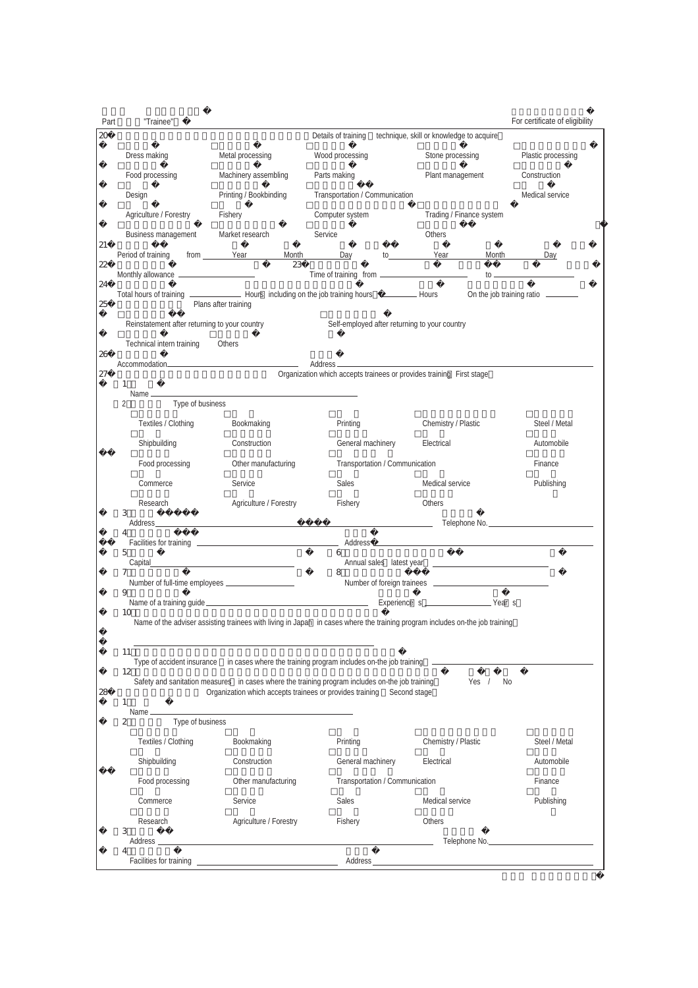| Part     | "Trainee"                                     |                                       |                                                                                                                                                                                                                                |                                          | For certificate of eligibility |
|----------|-----------------------------------------------|---------------------------------------|--------------------------------------------------------------------------------------------------------------------------------------------------------------------------------------------------------------------------------|------------------------------------------|--------------------------------|
| 20       |                                               |                                       | Details of training                                                                                                                                                                                                            | technique, skill or knowledge to acquire |                                |
|          | Dress making                                  | Metal processing                      | Wood processing                                                                                                                                                                                                                | Stone processing                         | Plastic processing             |
|          | Food processing                               | Machinery assembling                  | Parts making                                                                                                                                                                                                                   | Plant management                         | Construction                   |
|          | Design                                        | Printing / Bookbinding                | Transportation / Communication                                                                                                                                                                                                 |                                          | Medical service                |
|          | Agriculture / Forestry                        | Fishery                               | Computer system                                                                                                                                                                                                                | Trading / Finance system                 |                                |
| 21       | Business management                           | Market research                       | Service                                                                                                                                                                                                                        | Others                                   |                                |
| 22       | Period of training                            | from Year<br>Month<br>$\overline{23}$ | Day                                                                                                                                                                                                                            | to Year                                  | <b>Month</b><br>Day            |
|          | Monthly allowance ____________________        |                                       |                                                                                                                                                                                                                                |                                          |                                |
| 24<br>25 |                                               | Plans after training                  |                                                                                                                                                                                                                                |                                          | On the job training ratio      |
|          | Reinstatement after returning to your country |                                       | Self-employed after returning to your country                                                                                                                                                                                  |                                          |                                |
|          | Technical intern training                     | Others                                |                                                                                                                                                                                                                                |                                          |                                |
| 26       |                                               |                                       |                                                                                                                                                                                                                                |                                          |                                |
| 27       | $\mathbf{1}$                                  |                                       | Organization which accepts trainees or provides training First stage                                                                                                                                                           |                                          |                                |
|          | Name _____<br>2<br>Type of business           |                                       |                                                                                                                                                                                                                                |                                          |                                |
|          | Textiles / Clothing                           | Bookmaking                            | Printing                                                                                                                                                                                                                       | Chemistry / Plastic                      | Steel / Metal                  |
|          | Shipbuilding                                  | Construction                          | General machinery                                                                                                                                                                                                              | Electrical                               | Automobile                     |
|          | Food processing                               | Other manufacturing                   | Transportation / Communication                                                                                                                                                                                                 |                                          | Finance                        |
|          | Commerce                                      | Service                               | Sales                                                                                                                                                                                                                          | Medical service                          | Publishing                     |
|          | Research                                      | Agriculture / Forestry                | Fishery                                                                                                                                                                                                                        | Others                                   |                                |
|          | 3<br>Address                                  |                                       |                                                                                                                                                                                                                                |                                          | Telephone No.                  |
|          | Facilities for training                       |                                       | Address                                                                                                                                                                                                                        |                                          |                                |
|          | 5                                             |                                       | 6                                                                                                                                                                                                                              |                                          |                                |
|          | 7                                             |                                       | 8                                                                                                                                                                                                                              |                                          |                                |
|          | 9                                             |                                       | Name of a training guide example and the set of the set of the set of the set of the set of the set of the set of the set of the set of the set of the set of the set of the set of the set of the set of the set of the set o |                                          |                                |
|          | 10                                            |                                       | Name of the adviser assisting trainees with living in Japan in cases where the training program includes on-the job training                                                                                                   |                                          |                                |
|          |                                               |                                       |                                                                                                                                                                                                                                |                                          |                                |
|          | 11                                            |                                       |                                                                                                                                                                                                                                |                                          |                                |
|          | 12                                            |                                       | Safety and sanitation measures in cases where the training program includes on-the job training                                                                                                                                | Yes $/$                                  | No.                            |
| 28       | $\mathbf{1}$                                  |                                       | Organization which accepts trainees or provides training Second stage                                                                                                                                                          |                                          |                                |
|          | Name $\_\_\_\_\$<br>Type of business<br>2     |                                       |                                                                                                                                                                                                                                |                                          |                                |
|          | Textiles / Clothing                           | Bookmaking                            | Printing                                                                                                                                                                                                                       | Chemistry / Plastic                      | Steel / Metal                  |
|          | Shipbuilding                                  | Construction                          | General machinery                                                                                                                                                                                                              | Electrical                               | Automobile                     |
|          | Food processing                               | Other manufacturing                   | Transportation / Communication                                                                                                                                                                                                 |                                          | Finance                        |
|          | Commerce                                      | Service                               | Sales                                                                                                                                                                                                                          | Medical service                          | Publishing                     |
|          | Research                                      | Agriculture / Forestry                | Fishery                                                                                                                                                                                                                        | Others                                   |                                |
|          | 3                                             |                                       |                                                                                                                                                                                                                                |                                          | Telephone No.                  |
|          |                                               |                                       |                                                                                                                                                                                                                                |                                          |                                |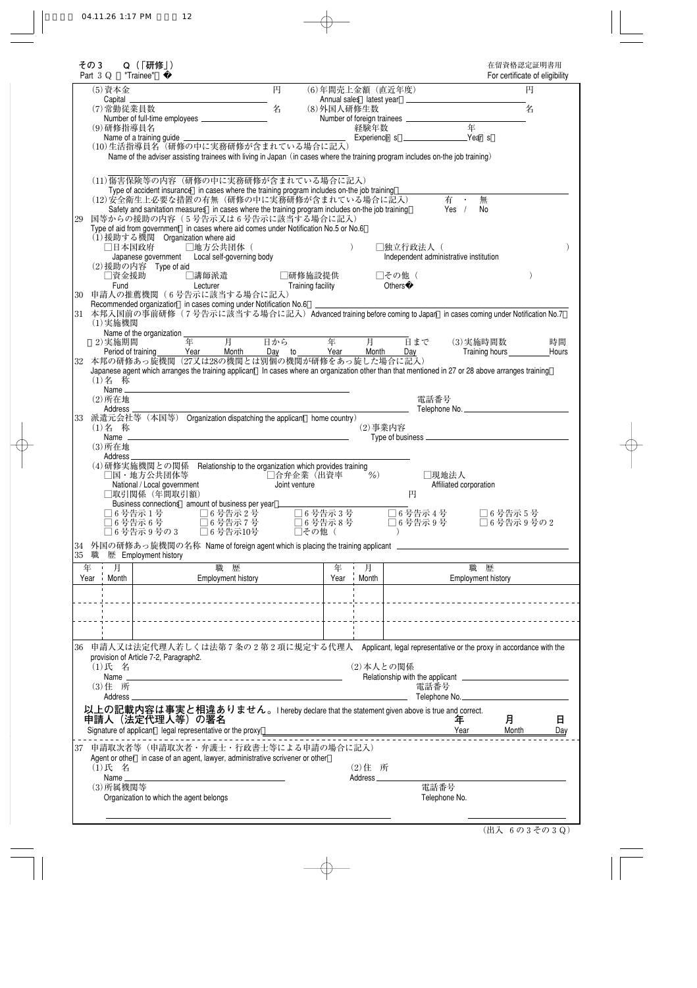| その3<br>Part $3Q$                                          | Q (「研修」)<br>"Trainee"                                                                                                                                                                                                                                                                                                                                                                                                                                                                                                                                                   |                                                            |            |                          |                                                                | 在留資格認定証明書用<br>For certificate of eligibility |             |
|-----------------------------------------------------------|-------------------------------------------------------------------------------------------------------------------------------------------------------------------------------------------------------------------------------------------------------------------------------------------------------------------------------------------------------------------------------------------------------------------------------------------------------------------------------------------------------------------------------------------------------------------------|------------------------------------------------------------|------------|--------------------------|----------------------------------------------------------------|----------------------------------------------|-------------|
| (5) 資本金                                                   | <b>Capital</b><br>(7) 常勤従業員数<br>(9) 研修指導員名<br>(10)生活指導員名 (研修の中に実務研修が含まれている場合に記入)<br>Name of the adviser assisting trainees with living in Japan (in cases where the training program includes on-the job training)                                                                                                                                                                                                                                                                                                                                                      | 円<br>名                                                     | (8)外国人研修生数 | (6)年間売上金額 (直近年度)<br>経験年数 | 年                                                              | 円<br>名                                       |             |
| 29                                                        | (11)傷害保険等の内容(研修の中に実務研修が含まれている場合に記入)<br>Type of accident insurance in cases where the training program includes on-the job training<br>(12)安全衛生上必要な措置の有無(研修の中に実務研修が含まれている場合に記入)<br>Safety and sanitation measures in cases where the training program includes on-the job training<br>国等からの援助の内容 (5号告示又は6号告示に該当する場合に記入)<br>Type of aid from government in cases where aid comes under Notification No.5 or No.6<br>(1) 援助する機関 Organization where aid<br>□日本国政府<br>□地方公共団体 (<br>Japanese government  Local self-governing body<br>(2) 援助の内容 Type of aid<br>□資金援助<br>□講師派遣 | □研修施設提供                                                    |            | □独立行政法人(<br>□その他(        | 有一<br>Yes $/$<br>Independent administrative institution        | 無<br>No                                      |             |
| Fund<br>30<br>31                                          | Lecturer<br>申請人の推薦機関(6号告示に該当する場合に記入)<br>Recommended organization in cases coming under Notification No.6<br>本邦入国前の事前研修(7号告示に該当する場合に記入)Advanced training before coming to Japan in cases coming under Notification No.7                                                                                                                                                                                                                                                                                                                                                  | Training facility                                          |            | <b>Others</b>            |                                                                |                                              |             |
| $(1)$ 実施機関<br>2) 実施期間<br>32<br>(1)名 称                     | Name of the organization ___<br>年<br>Period of training Year Month Day to Year<br>本邦の研修あっ旋機関 (27又は28の機関とは別個の機関が研修をあっ旋した場合に記入)<br>Japanese agent which arranges the training applicant In cases where an organization other than that mentioned in 27 or 28 above arranges training                                                                                                                                                                                                                                                                                      | 月 日から                                                      | 年 一        | 月<br><b>Month</b><br>Dav | 日まで                                                            | (3) 実施時間数                                    | 時間<br>Hours |
| $(2)$ 所在地<br>Address<br>33<br>(1)名 称                      | 派遣元会社等 (本国等) Organization dispatching the applicant home country)                                                                                                                                                                                                                                                                                                                                                                                                                                                                                                       |                                                            |            | $(2)$ 事業内容               | 電話番号<br>Telephone No.                                          |                                              |             |
| (3) 所在地<br>Address.                                       | (4) 研修実施機関との関係 Relationship to the organization which provides training<br>□国・地方公共団体等<br>National / Local government<br>□取引関係(年間取引額)<br>Business connections amount of business per year<br>16号告示 1号             号告示 2号<br>□6号告示1号<br>$\Box$ 6 号告示 6 号<br>□6号告示7号<br>□6号告示10号<br>□6号告示 9号の 3                                                                                                                                                                                                                                                                            | □合弁企業(出資率<br>Joint venture<br>□6号告示3号<br>□6号告示8号<br>□その他 ( |            | $\sim$ %)<br>円           | □現地法人<br>Affiliated corporation<br>$\Box$ 6 号告示 4 号<br>□6号告示9号 | □6号告示5号<br>□6号告示9号の2                         |             |
| 34<br> 35 職                                               | 外国の研修あっ旋機関の名称 Name of foreign agent which is placing the training applicant _<br>歴 Employment history                                                                                                                                                                                                                                                                                                                                                                                                                                                                   |                                                            |            |                          |                                                                |                                              |             |
| 月<br>年<br>Year Month                                      | 職歴<br><b>Employment history</b>                                                                                                                                                                                                                                                                                                                                                                                                                                                                                                                                         |                                                            | 年<br>Year  | 月<br>Month               |                                                                | 職歴<br>Employment history                     |             |
|                                                           |                                                                                                                                                                                                                                                                                                                                                                                                                                                                                                                                                                         |                                                            |            |                          |                                                                |                                              |             |
| 36<br>(1)氏 名<br>Name _<br>(3) 住 所<br>Address <sub>-</sub> | 申請人又は法定代理人若しくは法第7条の2第2項に規定する代理人 Applicant, legal representative or the proxy in accordance with the<br>provision of Article 7-2, Paragraph2.<br>以上の記載内容は事実と相違ありません。I hereby declare that the statement given above is true and correct.<br>申請人(法定代理人等)の署名                                                                                                                                                                                                                                                                                                               |                                                            |            | (2) 本人との関係               | 電話番号<br>Telephone No.                                          | 月                                            | 日           |
| 37<br>(1)氏 名                                              | Signature of applicant legal representative or the proxy _<br>申請取次者等(申請取次者・弁護士・行政書士等による申請の場合に記入)<br>Agent or other in case of an agent, lawyer, administrative scrivener or other                                                                                                                                                                                                                                                                                                                                                                                       |                                                            |            | (2) 住 所                  | Year                                                           | Month                                        | Day         |
| Name_<br>(3) 所属機関等                                        | Organization to which the agent belongs                                                                                                                                                                                                                                                                                                                                                                                                                                                                                                                                 |                                                            |            | Address <sub>-</sub>     | 電話番号<br>Telephone No.                                          |                                              |             |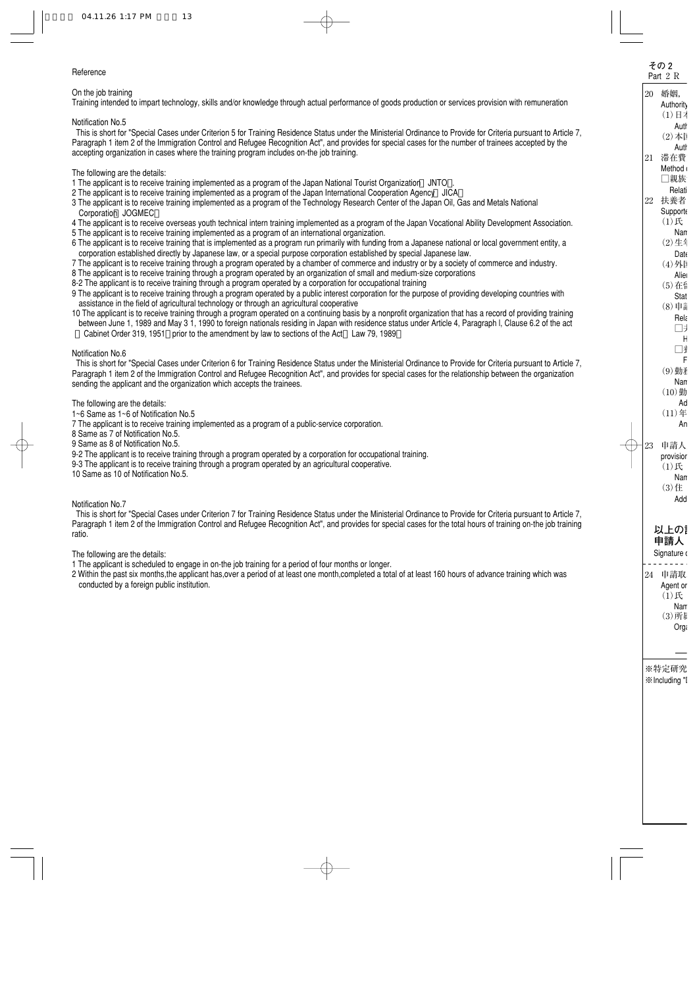## **Reference**

# On the job training

Training intended to impart technology, skills and/or knowledge through actual performance of goods production or services provision with remuneration

## Notification No.5

This is short for "Special Cases under Criterion 5 for Training Residence Status under the Ministerial Ordinance to Provide for Criteria pursuant to Article 7, Paragraph 1 item 2 of the Immigration Control and Refugee Recognition Act", and provides for special cases for the number of trainees accepted by the accepting organization in cases where the training program includes on-the job training.

### The following are the details:

- 1 The applicant is to receive training implemented as a program of the Japan National Tourist Organization JNTO .
- 2 The applicant is to receive training implemented as a program of the Japan International Cooperation Agency JICA
- 3 The applicant is to receive training implemented as a program of the Technology Research Center of the Japan Oil, Gas and Metals National Corporation JOGMEC
- 4 The applicant is to receive overseas youth technical intern training implemented as a program of the Japan Vocational Ability Development Association.
- 5 The applicant is to receive training implemented as a program of an international organization.
- 6 The applicant is to receive training that is implemented as a program run primarily with funding from a Japanese national or local government entity, a corporation established directly by Japanese law, or a special purpose corporation established by special Japanese law.
- 7 The applicant is to receive training through a program operated by a chamber of commerce and industry or by a society of commerce and industry.
- 8 The applicant is to receive training through a program operated by an organization of small and medium-size corporations
- 8-2 The applicant is to receive training through a program operated by a corporation for occupational training
- 9 The applicant is to receive training through a program operated by a public interest corporation for the purpose of providing developing countries with assistance in the field of agricultural technology or through an agricultural cooperative
- 10 The applicant is to receive training through a program operated on a continuing basis by a nonprofit organization that has a record of providing training between June 1, 1989 and May 3 1, 1990 to foreign nationals residing in Japan with residence status under Article 4, Paragraph l, Clause 6.2 of the act Cabinet Order 319, 1951 prior to the amendment by law to sections of the Act Law 79, 1989

# Notification No.6

This is short for "Special Cases under Criterion 6 for Training Residence Status under the Ministerial Ordinance to Provide for Criteria pursuant to Article 7, Paragraph 1 item 2 of the Immigration Control and Refugee Recognition Act", and provides for special cases for the relationship between the organization sending the applicant and the organization which accepts the trainees.

The following are the details:

1~6 Same as 1~6 of Notification No.5

7 The applicant is to receive training implemented as a program of a public-service corporation.

8 Same as 7 of Notification No.5.

9 Same as 8 of Notification No.5.

9-2 The applicant is to receive training through a program operated by a corporation for occupational training.

9-3 The applicant is to receive training through a program operated by an agricultural cooperative.

10 Same as 10 of Notification No.5.

Notification No.7

This is short for "Special Cases under Criterion 7 for Training Residence Status under the Ministerial Ordinance to Provide for Criteria pursuant to Article 7, Paragraph 1 item 2 of the Immigration Control and Refugee Recognition Act", and provides for special cases for the total hours of training on-the job training ratio.

The following are the details:

1 The applicant is scheduled to engage in on-the job training for a period of four months or longer.

2 Within the past six months,the applicant has,over a period of at least one month,completed a total of at least 160 hours of advance training which was conducted by a foreign public institution.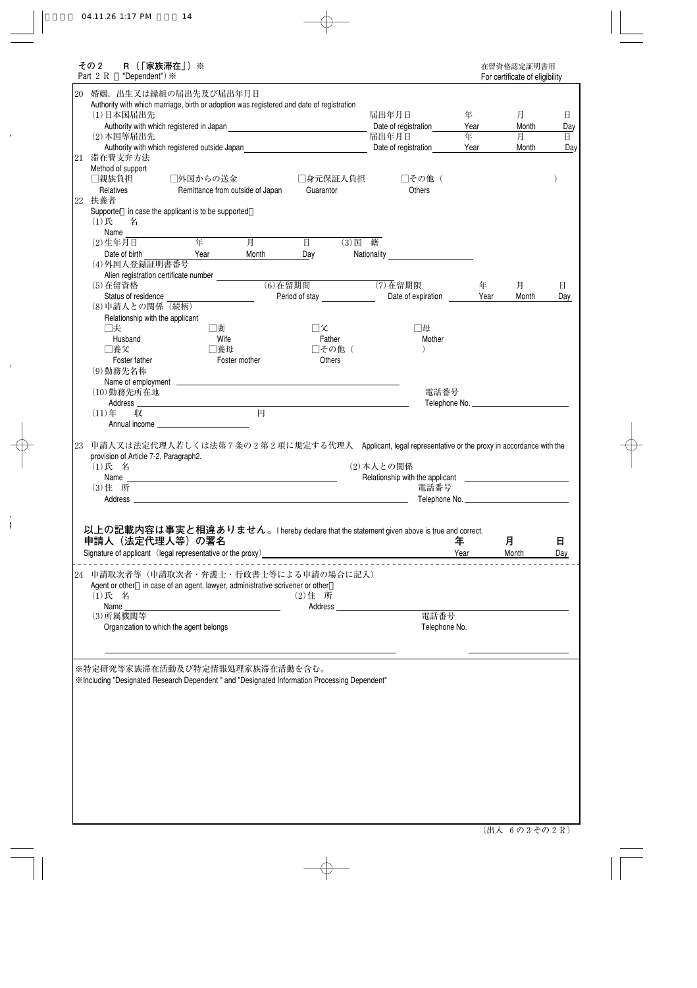| その 2<br>R (   家族滞在」)※<br>Part $2 R$<br>"Dependent") $\divideontimes$                                        |                                                                                                                                                                                                                               |                                |               |                         |               | 在留資格認定証明書用<br>For certificate of eligibility |              |
|-------------------------------------------------------------------------------------------------------------|-------------------------------------------------------------------------------------------------------------------------------------------------------------------------------------------------------------------------------|--------------------------------|---------------|-------------------------|---------------|----------------------------------------------|--------------|
| 20<br>婚姻, 出生又は縁組の届出先及び届出年月日                                                                                 |                                                                                                                                                                                                                               |                                |               |                         |               |                                              |              |
| Authority with which marriage, birth or adoption was registered and date of registration                    |                                                                                                                                                                                                                               |                                |               |                         |               |                                              |              |
| (1)日本国届出先                                                                                                   |                                                                                                                                                                                                                               |                                |               | 届出年月日                   | 年             | 月                                            | 日            |
|                                                                                                             |                                                                                                                                                                                                                               |                                |               | Date of registration    | Year          | Month                                        | Day          |
| (2) 本国等届出先                                                                                                  |                                                                                                                                                                                                                               |                                |               | 届出年月日                   | 年             | 月                                            | $\mathbf{H}$ |
| Authority with which registered outside Japan<br>滞在費支弁方法<br>21                                              |                                                                                                                                                                                                                               |                                |               | Date of registration    | Year          | Month                                        | Day          |
| Method of support                                                                                           |                                                                                                                                                                                                                               |                                |               |                         |               |                                              |              |
| □親族負担                                                                                                       | □外国からの送金                                                                                                                                                                                                                      |                                | □身元保証人負担      | □その他 (                  |               |                                              |              |
| Relatives                                                                                                   | Remittance from outside of Japan                                                                                                                                                                                              | Guarantor                      |               | Others                  |               |                                              |              |
| 22 扶養者                                                                                                      |                                                                                                                                                                                                                               |                                |               |                         |               |                                              |              |
| Supporter in case the applicant is to be supported                                                          |                                                                                                                                                                                                                               |                                |               |                         |               |                                              |              |
| (1)<br>名                                                                                                    |                                                                                                                                                                                                                               |                                |               |                         |               |                                              |              |
| Name                                                                                                        |                                                                                                                                                                                                                               |                                |               |                         |               |                                              |              |
| $(2)$ 生年月日                                                                                                  | 年<br>月                                                                                                                                                                                                                        | 日                              | (3)国籍         |                         |               |                                              |              |
| Date of birth                                                                                               | Year<br>Month                                                                                                                                                                                                                 | Day                            |               | Nationality Mationality |               |                                              |              |
| (4)外国人登録証明書番号                                                                                               |                                                                                                                                                                                                                               |                                |               |                         |               |                                              |              |
| Alien registration certificate number<br>(5) 在留資格                                                           |                                                                                                                                                                                                                               | $\overline{(6)}$ 在留期間          |               | $(7)$ 在留期限              | 年             | 月                                            | 日            |
| Status of residence                                                                                         |                                                                                                                                                                                                                               | Period of stay _______________ |               | Date of expiration      | Year          | Month                                        | Day          |
| (8)申請人との関係 (続柄)                                                                                             |                                                                                                                                                                                                                               |                                |               |                         |               |                                              |              |
| Relationship with the applicant                                                                             |                                                                                                                                                                                                                               |                                |               |                         |               |                                              |              |
| □夫                                                                                                          | □妻                                                                                                                                                                                                                            | □父                             |               | □母                      |               |                                              |              |
| Husband                                                                                                     | Wife                                                                                                                                                                                                                          |                                | Father        | Mother                  |               |                                              |              |
| □養父                                                                                                         | □養母                                                                                                                                                                                                                           |                                | □その他(         |                         |               |                                              |              |
| Foster father                                                                                               | Foster mother                                                                                                                                                                                                                 |                                | <b>Others</b> |                         |               |                                              |              |
| (9)勤務先名称                                                                                                    |                                                                                                                                                                                                                               |                                |               |                         |               |                                              |              |
|                                                                                                             |                                                                                                                                                                                                                               |                                |               |                         |               |                                              |              |
| (10)勤務先所在地                                                                                                  |                                                                                                                                                                                                                               |                                |               | 電話番号                    |               |                                              |              |
| Address_                                                                                                    | <u> 1989 - Johann Barn, mars ann an t-Amhain Aonaich an t-Aonaich an t-Aonaich ann an t-Aonaich ann an t-Aonaich</u>                                                                                                          | 円                              |               |                         |               |                                              |              |
| $(11)$ 年<br>収                                                                                               |                                                                                                                                                                                                                               |                                |               |                         |               |                                              |              |
| provision of Article 7-2, Paragraph2.<br>(1)氏 名<br>Name $\equiv$                                            | the control of the control of the control of the control of the control of the control of the control of the control of the control of the control of the control of the control of the control of the control of the control |                                |               | (2) 本人との関係              |               |                                              |              |
| (3) 住 所                                                                                                     |                                                                                                                                                                                                                               |                                |               | 電話番号                    |               |                                              |              |
| Address _                                                                                                   |                                                                                                                                                                                                                               |                                |               |                         | Telephone No. |                                              |              |
|                                                                                                             |                                                                                                                                                                                                                               |                                |               |                         |               |                                              |              |
| 以上の記載内容は事実と相違ありません。I hereby declare that the statement given above is true and correct.<br>申請人 (法定代理人等) の署名 |                                                                                                                                                                                                                               |                                |               |                         |               |                                              |              |
|                                                                                                             |                                                                                                                                                                                                                               |                                |               |                         | 年             | 月                                            | 日            |
|                                                                                                             |                                                                                                                                                                                                                               |                                |               |                         | Year          | Month                                        | <u>Day</u>   |
| 24 申請取次者等(申請取次者・弁護士・行政書士等による申請の場合に記入)                                                                       |                                                                                                                                                                                                                               |                                |               |                         |               |                                              |              |
| Agent or other in case of an agent, lawyer, administrative scrivener or other                               |                                                                                                                                                                                                                               |                                |               |                         |               |                                              |              |
| (1)氏 名                                                                                                      |                                                                                                                                                                                                                               | (2) 住 所                        |               |                         |               |                                              |              |
| Name_                                                                                                       |                                                                                                                                                                                                                               |                                |               |                         |               |                                              |              |
| (3) 所属機関等                                                                                                   |                                                                                                                                                                                                                               |                                |               | 電話番号                    |               |                                              |              |
| Organization to which the agent belongs                                                                     |                                                                                                                                                                                                                               |                                |               | Telephone No.           |               |                                              |              |
|                                                                                                             |                                                                                                                                                                                                                               |                                |               |                         |               |                                              |              |
|                                                                                                             |                                                                                                                                                                                                                               |                                |               |                         |               |                                              |              |
| ※特定研究等家族滞在活動及び特定情報処理家族滞在活動を含む。                                                                              |                                                                                                                                                                                                                               |                                |               |                         |               |                                              |              |
| ** Including "Designated Research Dependent" and "Designated Information Processing Dependent"              |                                                                                                                                                                                                                               |                                |               |                         |               |                                              |              |
|                                                                                                             |                                                                                                                                                                                                                               |                                |               |                         |               |                                              |              |
|                                                                                                             |                                                                                                                                                                                                                               |                                |               |                         |               |                                              |              |
|                                                                                                             |                                                                                                                                                                                                                               |                                |               |                         |               |                                              |              |
|                                                                                                             |                                                                                                                                                                                                                               |                                |               |                         |               |                                              |              |
|                                                                                                             |                                                                                                                                                                                                                               |                                |               |                         |               |                                              |              |
|                                                                                                             |                                                                                                                                                                                                                               |                                |               |                         |               |                                              |              |
|                                                                                                             |                                                                                                                                                                                                                               |                                |               |                         |               |                                              |              |
|                                                                                                             |                                                                                                                                                                                                                               |                                |               |                         |               |                                              |              |
|                                                                                                             |                                                                                                                                                                                                                               |                                |               |                         |               |                                              |              |
|                                                                                                             |                                                                                                                                                                                                                               |                                |               |                         |               |                                              |              |
|                                                                                                             |                                                                                                                                                                                                                               |                                |               |                         |               |                                              |              |
|                                                                                                             |                                                                                                                                                                                                                               |                                |               |                         |               |                                              |              |
|                                                                                                             |                                                                                                                                                                                                                               |                                |               |                         |               |                                              |              |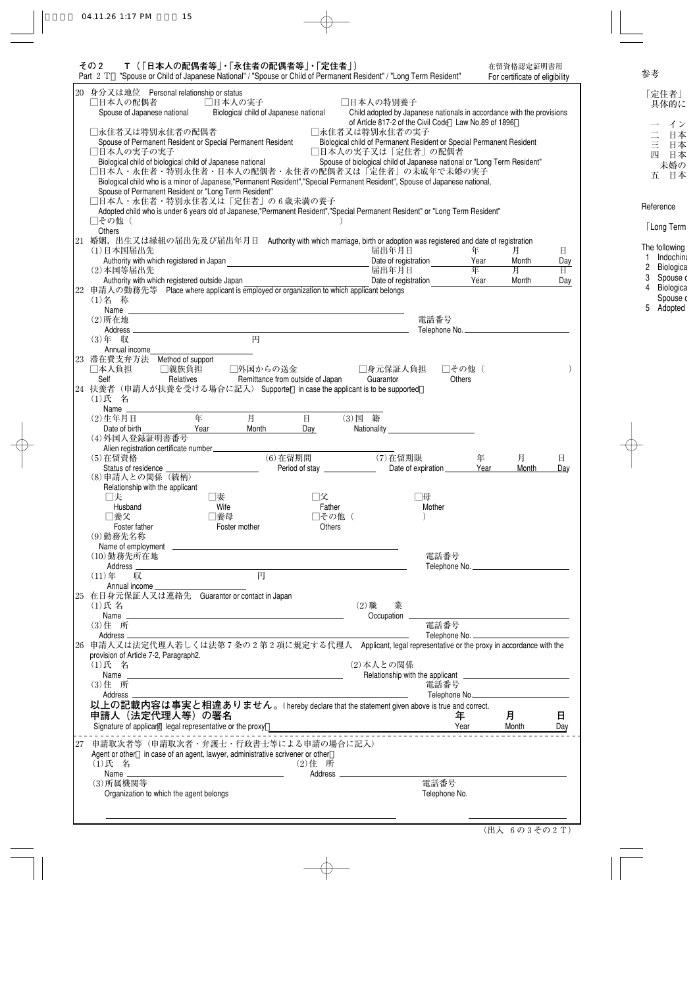|    | その 2<br>Part 2 T                                         | T(   日本人の配偶者等」・  永住者の配偶者等」・  定住者」)<br>"Spouse or Child of Japanese National" / "Spouse or Child of Permanent Resident" / "Long Term Resident"                                                                                 |                                  |                                                                         |                                                                       |           | 在留資格認定証明書用<br>For certificate of eligibility     |                                |
|----|----------------------------------------------------------|-------------------------------------------------------------------------------------------------------------------------------------------------------------------------------------------------------------------------------|----------------------------------|-------------------------------------------------------------------------|-----------------------------------------------------------------------|-----------|--------------------------------------------------|--------------------------------|
|    | 20 身分又は地位 Personal relationship or status                |                                                                                                                                                                                                                               |                                  |                                                                         |                                                                       |           |                                                  |                                |
|    | □日本人の配偶者                                                 | □日本人の実子                                                                                                                                                                                                                       |                                  | □日本人の特別養子                                                               |                                                                       |           |                                                  |                                |
|    | Spouse of Japanese national                              | Biological child of Japanese national                                                                                                                                                                                         |                                  |                                                                         | Child adopted by Japanese nationals in accordance with the provisions |           |                                                  |                                |
|    |                                                          |                                                                                                                                                                                                                               |                                  |                                                                         | of Article 817-2 of the Civil Code Law No.89 of 1896                  |           |                                                  |                                |
|    | □永住者又は特別永住者の配偶者                                          |                                                                                                                                                                                                                               |                                  | □永住者又は特別永住者の実子                                                          |                                                                       |           |                                                  |                                |
|    |                                                          | Spouse of Permanent Resident or Special Permanent Resident                                                                                                                                                                    |                                  | Biological child of Permanent Resident or Special Permanent Resident    |                                                                       |           |                                                  |                                |
|    | □日本人の実子の実子                                               |                                                                                                                                                                                                                               |                                  | □日本人の実子又は「定住者」の配偶者                                                      |                                                                       |           |                                                  |                                |
|    |                                                          | Biological child of biological child of Japanese national<br>□日本人・永住者・特別永住者・日本人の配偶者・永住者の配偶者又は「定住者」の未成年で未婚の実子                                                                                                                  |                                  | Spouse of biological child of Japanese national or "Long Term Resident" |                                                                       |           |                                                  |                                |
|    |                                                          | Biological child who is a minor of Japanese,"Permanent Resident","Special Permanent Resident", Spouse of Japanese national,                                                                                                   |                                  |                                                                         |                                                                       |           |                                                  |                                |
|    |                                                          | Spouse of Permanent Resident or "Long Term Resident"                                                                                                                                                                          |                                  |                                                                         |                                                                       |           |                                                  |                                |
|    |                                                          | □日本人・永住者・特別永住者又は「定住者」の6歳未満の養子                                                                                                                                                                                                 |                                  |                                                                         |                                                                       |           |                                                  |                                |
|    |                                                          | Adopted child who is under 6 years old of Japanese,"Permanent Resident","Special Permanent Resident" or "Long Term Resident"                                                                                                  |                                  |                                                                         |                                                                       |           |                                                  |                                |
|    | □その他(                                                    |                                                                                                                                                                                                                               |                                  |                                                                         |                                                                       |           |                                                  |                                |
|    | Others                                                   |                                                                                                                                                                                                                               |                                  |                                                                         |                                                                       |           |                                                  |                                |
|    |                                                          | 21 婚姻, 出生又は縁組の届出先及び届出年月日 Authority with which marriage, birth or adoption was registered and date of registration                                                                                                             |                                  |                                                                         |                                                                       |           |                                                  |                                |
|    | (1)日本国届出先                                                |                                                                                                                                                                                                                               |                                  | 届出年月日                                                                   |                                                                       | 年         | 月                                                | 日                              |
|    | Authority with which registered in Japan<br>(2) 本国等届出先   |                                                                                                                                                                                                                               |                                  | Date of registration<br>届出年月日                                           |                                                                       | Year<br>年 | Month                                            | Day<br>$\overline{\mathbb{H}}$ |
|    | Authority with which registered outside Japan            |                                                                                                                                                                                                                               |                                  |                                                                         | Date of registration                                                  | Year      | 月<br>Month                                       | Day                            |
| 22 |                                                          | 申請人の勤務先等 Place where applicant is employed or organization to which applicant belongs                                                                                                                                         |                                  |                                                                         |                                                                       |           |                                                  |                                |
|    | (1)名 称                                                   |                                                                                                                                                                                                                               |                                  |                                                                         |                                                                       |           |                                                  |                                |
|    | Name                                                     | the control of the control of the control of the control of the control of the control of the control of the control of the control of the control of the control of the control of the control of the control of the control |                                  |                                                                         |                                                                       |           |                                                  |                                |
|    | $(2)$ 所在地                                                |                                                                                                                                                                                                                               |                                  |                                                                         | 電話番号                                                                  |           |                                                  |                                |
|    |                                                          |                                                                                                                                                                                                                               |                                  |                                                                         | Telephone No.                                                         |           |                                                  |                                |
|    | $(3)$ 年 収                                                | 円                                                                                                                                                                                                                             |                                  |                                                                         |                                                                       |           |                                                  |                                |
|    | Annual income                                            |                                                                                                                                                                                                                               |                                  |                                                                         |                                                                       |           |                                                  |                                |
|    | 23 滞在費支弁方法 Method of support                             |                                                                                                                                                                                                                               |                                  |                                                                         |                                                                       |           |                                                  |                                |
|    | □本人負担<br>□親族負担                                           | □外国からの送金                                                                                                                                                                                                                      |                                  | □身元保証人負担                                                                | □その他(                                                                 |           |                                                  |                                |
|    | Self                                                     | Relatives                                                                                                                                                                                                                     | Remittance from outside of Japan | Guarantor                                                               | <b>Others</b>                                                         |           |                                                  |                                |
|    | (1)氏 名                                                   | 24 扶養者 (申請人が扶養を受ける場合に記入) Supporter in case the applicant is to be supported                                                                                                                                                   |                                  |                                                                         |                                                                       |           |                                                  |                                |
|    | Name.                                                    |                                                                                                                                                                                                                               |                                  |                                                                         |                                                                       |           |                                                  |                                |
|    | $(2)$ 生年月日                                               | 年<br>月                                                                                                                                                                                                                        | $\mathbf{H}$                     | (3)国籍                                                                   |                                                                       |           |                                                  |                                |
|    | Date of birth                                            | Month<br>Year                                                                                                                                                                                                                 | Day                              |                                                                         | <b>Nationality Example 2018</b>                                       |           |                                                  |                                |
|    | (4)外国人登録証明書番号                                            |                                                                                                                                                                                                                               |                                  |                                                                         |                                                                       |           |                                                  |                                |
|    | Alien registration certificate number                    |                                                                                                                                                                                                                               |                                  |                                                                         |                                                                       |           |                                                  |                                |
|    | (5) 在留資格                                                 |                                                                                                                                                                                                                               | $(6)$ 在留期間                       | (7) 在留期限                                                                |                                                                       | 年         | 月                                                | $\mathbf{H}$                   |
|    | Status of residence _                                    |                                                                                                                                                                                                                               | Period of stay                   |                                                                         | Date of expiration                                                    | Year      | Month                                            | Day                            |
|    | (8)申請人との関係 (続柄)                                          |                                                                                                                                                                                                                               |                                  |                                                                         |                                                                       |           |                                                  |                                |
|    | Relationship with the applicant<br>□夫                    | ]妻                                                                                                                                                                                                                            | コ父                               |                                                                         | ]母                                                                    |           |                                                  |                                |
|    | Husband                                                  | Wife                                                                                                                                                                                                                          | Father                           |                                                                         | Mother                                                                |           |                                                  |                                |
|    | □養父                                                      | □養母                                                                                                                                                                                                                           | □その他 (                           |                                                                         |                                                                       |           |                                                  |                                |
|    | Foster father                                            | Foster mother                                                                                                                                                                                                                 | Others                           |                                                                         |                                                                       |           |                                                  |                                |
|    | (9)勤務先名称                                                 |                                                                                                                                                                                                                               |                                  |                                                                         |                                                                       |           |                                                  |                                |
|    |                                                          |                                                                                                                                                                                                                               |                                  |                                                                         |                                                                       |           |                                                  |                                |
|    | (10)勤務先所在地                                               |                                                                                                                                                                                                                               |                                  |                                                                         | 電話番号                                                                  |           |                                                  |                                |
|    |                                                          |                                                                                                                                                                                                                               |                                  |                                                                         |                                                                       |           | Telephone No.                                    |                                |
|    | 収<br>$(11)$ 年                                            | 円                                                                                                                                                                                                                             |                                  |                                                                         |                                                                       |           |                                                  |                                |
|    | Annual income                                            |                                                                                                                                                                                                                               |                                  |                                                                         |                                                                       |           |                                                  |                                |
|    | $(1)$ 氏名                                                 | 25 在日身元保証人又は連絡先 Guarantor or contact in Japan                                                                                                                                                                                 |                                  | $(2)$ 職                                                                 |                                                                       |           |                                                  |                                |
|    |                                                          |                                                                                                                                                                                                                               |                                  | 業<br>Occupation _____                                                   |                                                                       |           | <u> 1989 - Johann Barn, mars ann an t-Amhain</u> |                                |
|    | (3) 住 所                                                  |                                                                                                                                                                                                                               |                                  |                                                                         | 電話番号                                                                  |           |                                                  |                                |
|    |                                                          |                                                                                                                                                                                                                               |                                  |                                                                         |                                                                       |           | Telephone No.                                    |                                |
|    |                                                          |                                                                                                                                                                                                                               |                                  |                                                                         |                                                                       |           |                                                  |                                |
|    | Address _____                                            |                                                                                                                                                                                                                               |                                  |                                                                         |                                                                       |           |                                                  |                                |
|    | provision of Article 7-2, Paragraph2.                    | 申請人又は法定代理人若しくは法第7条の2第2項に規定する代理人 Applicant, legal representative or the proxy in accordance with the                                                                                                                           |                                  |                                                                         |                                                                       |           |                                                  |                                |
|    | $(1)$ 氏 名                                                |                                                                                                                                                                                                                               |                                  | (2)本人との関係                                                               |                                                                       |           |                                                  |                                |
|    |                                                          |                                                                                                                                                                                                                               |                                  |                                                                         |                                                                       |           |                                                  |                                |
|    | (3) 住 所                                                  |                                                                                                                                                                                                                               |                                  |                                                                         | 電話番号                                                                  |           |                                                  |                                |
|    | Address —                                                |                                                                                                                                                                                                                               |                                  |                                                                         |                                                                       |           | Telephone No.                                    |                                |
|    |                                                          | 以上の記載内容は事実と相違ありません。I hereby declare that the statement given above is true and correct.                                                                                                                                       |                                  |                                                                         |                                                                       |           |                                                  |                                |
|    | 申請人 (法定代理人等) の署名                                         |                                                                                                                                                                                                                               |                                  |                                                                         | 年                                                                     |           | 月                                                | 日                              |
|    | Signature of applicant legal representative or the proxy |                                                                                                                                                                                                                               |                                  |                                                                         | Year                                                                  |           | Month                                            |                                |
| 26 |                                                          |                                                                                                                                                                                                                               |                                  |                                                                         |                                                                       |           |                                                  |                                |
| 27 |                                                          | 申請取次者等(申請取次者・弁護士・行政書士等による申請の場合に記入)                                                                                                                                                                                            |                                  |                                                                         |                                                                       |           |                                                  | Day                            |
|    |                                                          | Agent or other in case of an agent, lawyer, administrative scrivener or other                                                                                                                                                 |                                  |                                                                         |                                                                       |           |                                                  |                                |
|    | (1)氏 名                                                   |                                                                                                                                                                                                                               | (2) 住 所                          |                                                                         |                                                                       |           |                                                  |                                |
|    | (3) 所属機関等                                                |                                                                                                                                                                                                                               |                                  |                                                                         | 電話番号                                                                  |           |                                                  |                                |

Librarian de

**Contractor** 

Edward College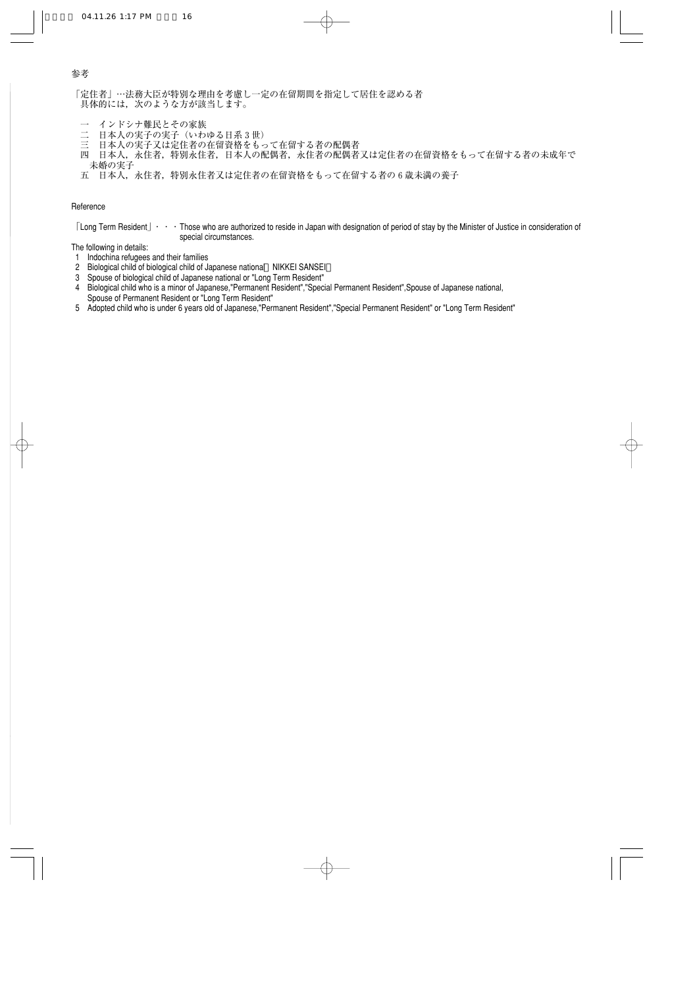「定住者」…法務大臣が特別な理由を考慮し一定の在留期間を指定して居住を認める者 具体的には,次のような方が該当します。�

- 一 インドシナ難民とその家族<br>二 日本人の実子の実子 (いわ
- 二 日本人の実子の実子(いわゆる日系3世)<br>三 日本人の実子又は定住者の在留資格をもっ
- 日本人の実子又は定住者の在留資格をもって在留する者の配偶者
- 四 日本人,永住者,特別永住者,日本人の配偶者,永住者の配偶者又は定住者の在留資格をもって在留する者の未成年で 未婚の実子�
- 五 日本人,永住者,特別永住者又は定住者の在留資格をもって在留する者の6歳未満の養子

#### Reference

「Long Term Resident」・・・Those who are authorized to reside in Japan with designation of period of stay by the Minister of Justice in consideration of special circumstances.

The following in details:

- 1 Indochina refugees and their families
- 2 Biological child of biological child of Japanese national NIKKEI SANSEI
- 3 Spouse of biological child of Japanese national or "Long Term Resident"
- 4 Biological child who is a minor of Japanese,"Permanent Resident","Special Permanent Resident",Spouse of Japanese national, Spouse of Permanent Resident or "Long Term Resident"
- 5 Adopted child who is under 6 years old of Japanese,"Permanent Resident","Special Permanent Resident" or "Long Term Resident"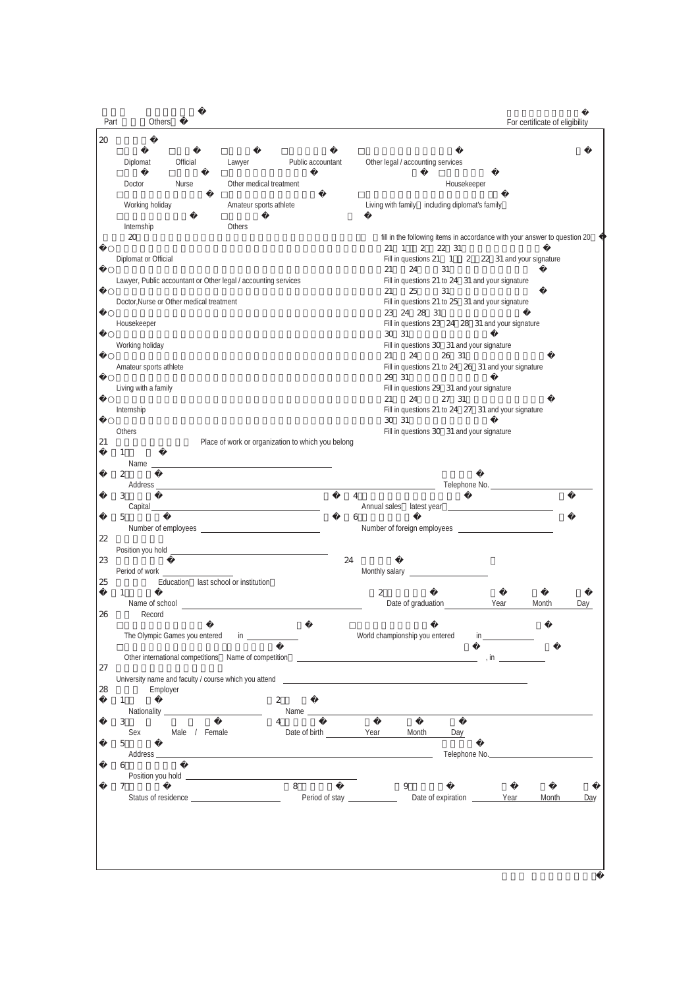Part Others

For certificate of eligibility

| 20 |                        |                                          |                                                                |                                                                                                                                                                                                                                                      |                                                                                                                |
|----|------------------------|------------------------------------------|----------------------------------------------------------------|------------------------------------------------------------------------------------------------------------------------------------------------------------------------------------------------------------------------------------------------------|----------------------------------------------------------------------------------------------------------------|
|    | Diplomat               | Official                                 | Lawyer                                                         | Public accountant                                                                                                                                                                                                                                    | Other legal / accounting services                                                                              |
|    | Doctor                 | Nurse                                    | Other medical treatment                                        |                                                                                                                                                                                                                                                      | Housekeeper                                                                                                    |
|    | Working holiday        |                                          | Amateur sports athlete                                         |                                                                                                                                                                                                                                                      | Living with family including diplomat's family                                                                 |
|    | Internship<br>20       |                                          | Others                                                         |                                                                                                                                                                                                                                                      | fill in the following items in accordance with your answer to question 20<br>2 2 31<br>21<br>$\overline{1}$    |
|    | Diplomat or Official   |                                          |                                                                |                                                                                                                                                                                                                                                      | Fill in questions 21 1 2 22 31 and your signature<br>24<br>21<br>31                                            |
|    |                        |                                          | Lawyer, Public accountant or Other legal / accounting services |                                                                                                                                                                                                                                                      | Fill in questions 21 to 24 31 and your signature<br>25<br>31<br>21                                             |
|    |                        | Doctor, Nurse or Other medical treatment |                                                                |                                                                                                                                                                                                                                                      | Fill in questions 21 to 25 31 and your signature<br>23  24  28  31                                             |
|    | Housekeeper            |                                          |                                                                |                                                                                                                                                                                                                                                      | Fill in questions 23 24 28 31 and your signature<br>30 31                                                      |
|    | Working holiday        |                                          |                                                                |                                                                                                                                                                                                                                                      | Fill in questions 30 31 and your signature<br>24<br>26 31<br>21                                                |
|    | Amateur sports athlete |                                          |                                                                |                                                                                                                                                                                                                                                      | Fill in questions 21 to 24 26 31 and your signature<br>29 31                                                   |
|    | Living with a family   |                                          |                                                                |                                                                                                                                                                                                                                                      | Fill in questions 29 31 and your signature<br>24<br>27 31<br>21                                                |
|    | Internship             |                                          |                                                                |                                                                                                                                                                                                                                                      | Fill in questions 21 to 24 27 31 and your signature<br>30 31                                                   |
| 21 | Others                 |                                          |                                                                | Place of work or organization to which you belong                                                                                                                                                                                                    | Fill in questions 30 31 and your signature                                                                     |
|    | $\mathbf{1}$           |                                          |                                                                |                                                                                                                                                                                                                                                      |                                                                                                                |
|    | $\boldsymbol{2}$       |                                          |                                                                |                                                                                                                                                                                                                                                      | <u> 1980 - Johann Barbara, martin a</u>                                                                        |
|    | 3                      |                                          |                                                                |                                                                                                                                                                                                                                                      | 4                                                                                                              |
|    | 5                      |                                          | Number of employees Number of employees                        |                                                                                                                                                                                                                                                      | 6                                                                                                              |
| 22 |                        |                                          |                                                                |                                                                                                                                                                                                                                                      |                                                                                                                |
| 23 | Period of work         |                                          |                                                                | 24                                                                                                                                                                                                                                                   | Monthly salary <b>All According to the Control</b>                                                             |
| 25 | $\mathbf{1}$           | Education last school or institution     |                                                                |                                                                                                                                                                                                                                                      | 2                                                                                                              |
| 26 | Record                 |                                          |                                                                | Name of school <b>contained</b> and the set of school <b>contained a set of school contained</b> and the set of school <b>contained</b> and the set of school <b>contained</b> and the set of school <b>contained and the set of school containe</b> | Date of graduation contract the Year<br>Month<br>Day                                                           |
|    |                        | The Olympic Games you entered            | $\mathsf{in}$ . The set of $\mathsf{in}$                       |                                                                                                                                                                                                                                                      |                                                                                                                |
| 27 |                        |                                          |                                                                |                                                                                                                                                                                                                                                      |                                                                                                                |
| 28 | Employer               |                                          |                                                                |                                                                                                                                                                                                                                                      |                                                                                                                |
|    | $\mathbf{1}$           |                                          | $\boldsymbol{2}$                                               |                                                                                                                                                                                                                                                      |                                                                                                                |
|    | 3<br>Sex               | Male / Female                            | 4                                                              | Date of birth Year                                                                                                                                                                                                                                   | Month<br>Day                                                                                                   |
|    | 5                      |                                          |                                                                |                                                                                                                                                                                                                                                      | Telephone No. 2008 Contract to the Contract of the Contract of the Contract of the Contract of the Contract of |
|    | 6                      |                                          |                                                                |                                                                                                                                                                                                                                                      |                                                                                                                |
|    | $\overline{7}$         |                                          |                                                                | $\overline{8}$<br>Period of stay _______________                                                                                                                                                                                                     | 9<br>Month<br>Day                                                                                              |
|    |                        |                                          |                                                                |                                                                                                                                                                                                                                                      |                                                                                                                |
|    |                        |                                          |                                                                |                                                                                                                                                                                                                                                      |                                                                                                                |
|    |                        |                                          |                                                                |                                                                                                                                                                                                                                                      |                                                                                                                |